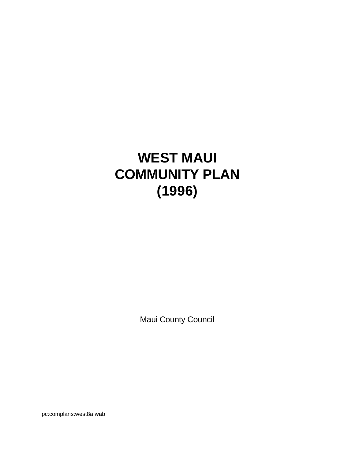# **WEST MAUI COMMUNITY PLAN (1996)**

Maui County Council

pc:complans:west8a:wab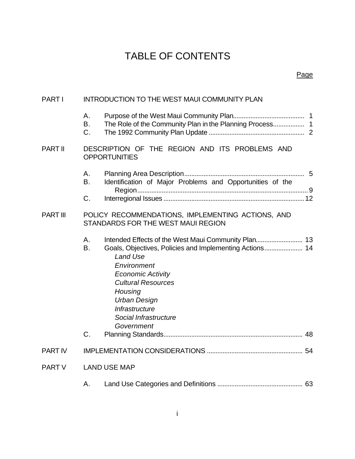# TABLE OF CONTENTS

# Page

| <b>PART I</b>   | <b>INTRODUCTION TO THE WEST MAUI COMMUNITY PLAN</b>                                     |                                                                                                                                                                                                                                               |  |
|-----------------|-----------------------------------------------------------------------------------------|-----------------------------------------------------------------------------------------------------------------------------------------------------------------------------------------------------------------------------------------------|--|
|                 | Α.<br>B.<br>C.                                                                          | The Role of the Community Plan in the Planning Process 1                                                                                                                                                                                      |  |
| PART II         | DESCRIPTION OF THE REGION AND ITS PROBLEMS AND<br><b>OPPORTUNITIES</b>                  |                                                                                                                                                                                                                                               |  |
|                 | Α.<br>B.<br>C.                                                                          | Identification of Major Problems and Opportunities of the                                                                                                                                                                                     |  |
| <b>PART III</b> | POLICY RECOMMENDATIONS, IMPLEMENTING ACTIONS, AND<br>STANDARDS FOR THE WEST MAUI REGION |                                                                                                                                                                                                                                               |  |
|                 | Α.<br><b>B.</b><br>C.                                                                   | Goals, Objectives, Policies and Implementing Actions 14<br>Land Use<br>Environment<br><b>Economic Activity</b><br><b>Cultural Resources</b><br>Housing<br><b>Urban Design</b><br><b>Infrastructure</b><br>Social Infrastructure<br>Government |  |
| <b>PART IV</b>  |                                                                                         |                                                                                                                                                                                                                                               |  |
| <b>PART V</b>   | <b>LAND USE MAP</b>                                                                     |                                                                                                                                                                                                                                               |  |
|                 | Α.                                                                                      |                                                                                                                                                                                                                                               |  |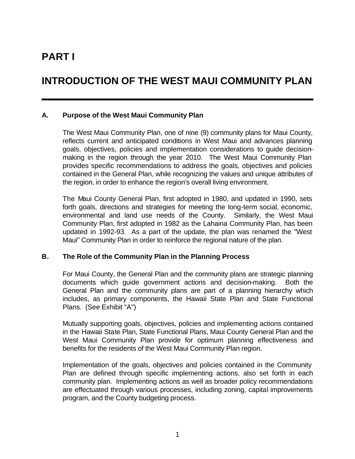# **PART I**

# **INTRODUCTION OF THE WEST MAUI COMMUNITY PLAN**

#### **A. Purpose of the West Maui Community Plan**

The West Maui Community Plan, one of nine (9) community plans for Maui County, reflects current and anticipated conditions in West Maui and advances planning goals, objectives, policies and implementation considerations to guide decisionmaking in the region through the year 2010. The West Maui Community Plan provides specific recommendations to address the goals, objectives and policies contained in the General Plan, while recognizing the values and unique attributes of the region, in order to enhance the region's overall living environment.

The Maui County General Plan, first adopted in 1980, and updated in 1990, sets forth goals, directions and strategies for meeting the long-term social, economic, environmental and land use needs of the County. Similarly, the West Maui Community Plan, first adopted in 1982 as the Lahaina Community Plan, has been updated in 1992-93. As a part of the update, the plan was renamed the "West Maui" Community Plan in order to reinforce the regional nature of the plan.

#### **B. The Role of the Community Plan in the Planning Process**

For Maui County, the General Plan and the community plans are strategic planning documents which guide government actions and decision-making. Both the General Plan and the community plans are part of a planning hierarchy which includes, as primary components, the Hawaii State Plan and State Functional Plans. (See Exhibit "A")

Mutually supporting goals, objectives, policies and implementing actions contained in the Hawaii State Plan, State Functional Plans, Maui County General Plan and the West Maui Community Plan provide for optimum planning effectiveness and benefits for the residents of the West Maui Community Plan region.

Implementation of the goals, objectives and policies contained in the Community Plan are defined through specific implementing actions, also set forth in each community plan. Implementing actions as well as broader policy recommendations are effectuated through various processes, including zoning, capital improvements program, and the County budgeting process.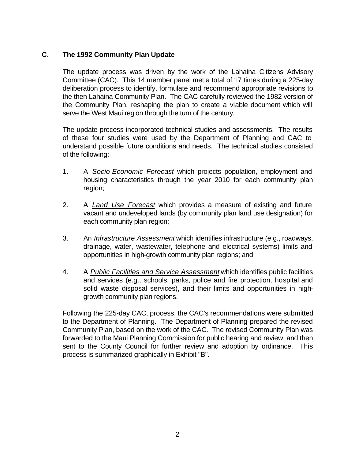# **C. The 1992 Community Plan Update**

The update process was driven by the work of the Lahaina Citizens Advisory Committee (CAC). This 14 member panel met a total of 17 times during a 225-day deliberation process to identify, formulate and recommend appropriate revisions to the then Lahaina Community Plan. The CAC carefully reviewed the 1982 version of the Community Plan, reshaping the plan to create a viable document which will serve the West Maui region through the turn of the century.

The update process incorporated technical studies and assessments. The results of these four studies were used by the Department of Planning and CAC to understand possible future conditions and needs. The technical studies consisted of the following:

- 1. A *Socio-Economic Forecast* which projects population, employment and housing characteristics through the year 2010 for each community plan region;
- 2. A *Land Use Forecast* which provides a measure of existing and future vacant and undeveloped lands (by community plan land use designation) for each community plan region;
- 3. An *Infrastructure Assessment* which identifies infrastructure (e.g., roadways, drainage, water, wastewater, telephone and electrical systems) limits and opportunities in high-growth community plan regions; and
- 4. A *Public Facilities and Service Assessment* which identifies public facilities and services (e.g., schools, parks, police and fire protection, hospital and solid waste disposal services), and their limits and opportunities in highgrowth community plan regions.

Following the 225-day CAC, process, the CAC's recommendations were submitted to the Department of Planning. The Department of Planning prepared the revised Community Plan, based on the work of the CAC. The revised Community Plan was forwarded to the Maui Planning Commission for public hearing and review, and then sent to the County Council for further review and adoption by ordinance. This process is summarized graphically in Exhibit "B".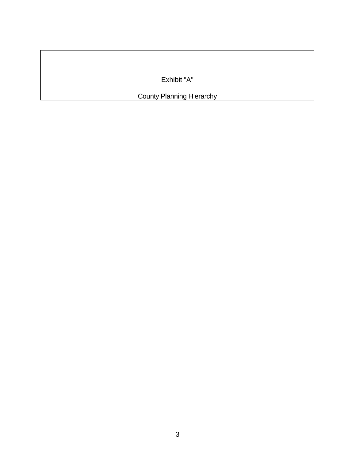Exhibit "A"

**County Planning Hierarchy**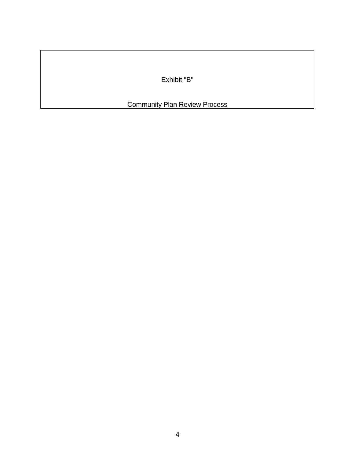Exhibit "B"

Community Plan Review Process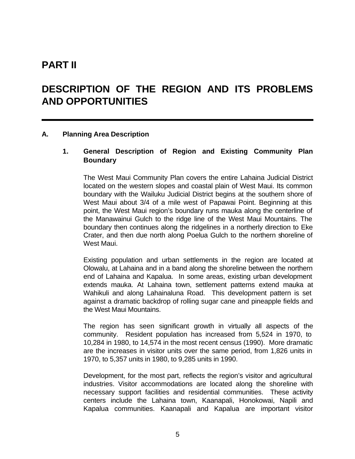# **PART II**

# **DESCRIPTION OF THE REGION AND ITS PROBLEMS AND OPPORTUNITIES**

#### **A. Planning Area Description**

#### **1. General Description of Region and Existing Community Plan Boundary**

The West Maui Community Plan covers the entire Lahaina Judicial District located on the western slopes and coastal plain of West Maui. Its common boundary with the Wailuku Judicial District begins at the southern shore of West Maui about 3/4 of a mile west of Papawai Point. Beginning at this point, the West Maui region's boundary runs mauka along the centerline of the Manawainui Gulch to the ridge line of the West Maui Mountains. The boundary then continues along the ridgelines in a northerly direction to Eke Crater, and then due north along Poelua Gulch to the northern shoreline of West Maui.

Existing population and urban settlements in the region are located at Olowalu, at Lahaina and in a band along the shoreline between the northern end of Lahaina and Kapalua. In some areas, existing urban development extends mauka. At Lahaina town, settlement patterns extend mauka at Wahikuli and along Lahainaluna Road. This development pattern is set against a dramatic backdrop of rolling sugar cane and pineapple fields and the West Maui Mountains.

The region has seen significant growth in virtually all aspects of the community. Resident population has increased from 5,524 in 1970, to 10,284 in 1980, to 14,574 in the most recent census (1990). More dramatic are the increases in visitor units over the same period, from 1,826 units in 1970, to 5,357 units in 1980, to 9,285 units in 1990.

Development, for the most part, reflects the region's visitor and agricultural industries. Visitor accommodations are located along the shoreline with necessary support facilities and residential communities. These activity centers include the Lahaina town, Kaanapali, Honokowai, Napili and Kapalua communities. Kaanapali and Kapalua are important visitor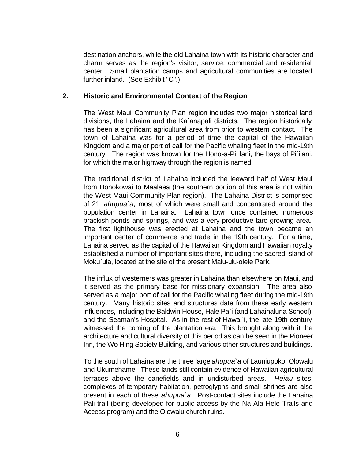destination anchors, while the old Lahaina town with its historic character and charm serves as the region's visitor, service, commercial and residential center. Small plantation camps and agricultural communities are located further inland. (See Exhibit "C".)

#### **2. Historic and Environmental Context of the Region**

The West Maui Community Plan region includes two major historical land divisions, the Lahaina and the Ka`anapali districts. The region historically has been a significant agricultural area from prior to western contact. The town of Lahaina was for a period of time the capital of the Hawaiian Kingdom and a major port of call for the Pacific whaling fleet in the mid-19th century. The region was known for the Hono-a-Pi`ilani, the bays of Pi`ilani, for which the major highway through the region is named.

The traditional district of Lahaina included the leeward half of West Maui from Honokowai to Maalaea (the southern portion of this area is not within the West Maui Community Plan region). The Lahaina District is comprised of 21 *ahupua`a*, most of which were small and concentrated around the population center in Lahaina. Lahaina town once contained numerous brackish ponds and springs, and was a very productive taro growing area. The first lighthouse was erected at Lahaina and the town became an important center of commerce and trade in the 19th century. For a time, Lahaina served as the capital of the Hawaiian Kingdom and Hawaiian royalty established a number of important sites there, including the sacred island of Moku`ula, located at the site of the present Malu-ulu-olele Park.

The influx of westerners was greater in Lahaina than elsewhere on Maui, and it served as the primary base for missionary expansion. The area also served as a major port of call for the Pacific whaling fleet during the mid-19th century. Many historic sites and structures date from these early western influences, including the Baldwin House, Hale Pa`i (and Lahainaluna School), and the Seaman's Hospital. As in the rest of Hawai`i, the late 19th century witnessed the coming of the plantation era. This brought along with it the architecture and cultural diversity of this period as can be seen in the Pioneer Inn, the Wo Hing Society Building, and various other structures and buildings.

To the south of Lahaina are the three large *ahupua`a* of Launiupoko, Olowalu and Ukumehame. These lands still contain evidence of Hawaiian agricultural terraces above the canefields and in undisturbed areas. *Heiau* sites, complexes of temporary habitation, petroglyphs and small shrines are also present in each of these *ahupua`a*. Post-contact sites include the Lahaina Pali trail (being developed for public access by the Na Ala Hele Trails and Access program) and the Olowalu church ruins.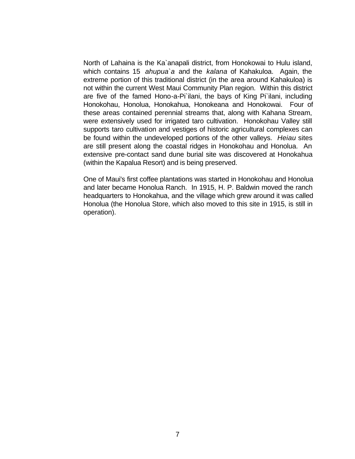North of Lahaina is the Ka`anapali district, from Honokowai to Hulu island, which contains 15 *ahupua`a* and the *kalana* of Kahakuloa. Again, the extreme portion of this traditional district (in the area around Kahakuloa) is not within the current West Maui Community Plan region. Within this district are five of the famed Hono-a-Pi`ilani, the bays of King Pi`ilani, including Honokohau, Honolua, Honokahua, Honokeana and Honokowai. Four of these areas contained perennial streams that, along with Kahana Stream, were extensively used for irrigated taro cultivation. Honokohau Valley still supports taro cultivation and vestiges of historic agricultural complexes can be found within the undeveloped portions of the other valleys. *Heiau* sites are still present along the coastal ridges in Honokohau and Honolua. An extensive pre-contact sand dune burial site was discovered at Honokahua (within the Kapalua Resort) and is being preserved.

One of Maui's first coffee plantations was started in Honokohau and Honolua and later became Honolua Ranch. In 1915, H. P. Baldwin moved the ranch headquarters to Honokahua, and the village which grew around it was called Honolua (the Honolua Store, which also moved to this site in 1915, is still in operation).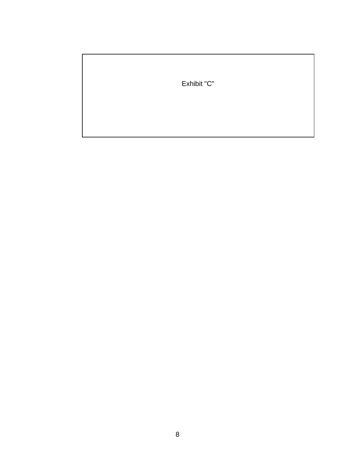Exhibit "C"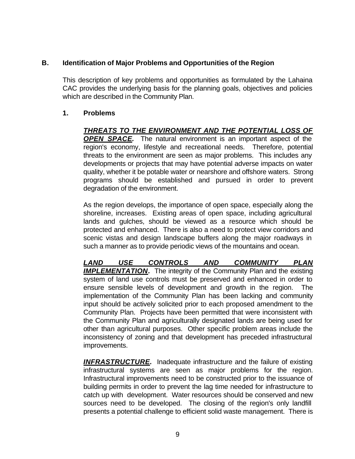#### **B. Identification of Major Problems and Opportunities of the Region**

This description of key problems and opportunities as formulated by the Lahaina CAC provides the underlying basis for the planning goals, objectives and policies which are described in the Community Plan.

#### **1. Problems**

*THREATS TO THE ENVIRONMENT AND THE POTENTIAL LOSS OF OPEN SPACE.* The natural environment is an important aspect of the region's economy, lifestyle and recreational needs. Therefore, potential threats to the environment are seen as major problems. This includes any developments or projects that may have potential adverse impacts on water quality, whether it be potable water or nearshore and offshore waters. Strong programs should be established and pursued in order to prevent degradation of the environment.

As the region develops, the importance of open space, especially along the shoreline, increases. Existing areas of open space, including agricultural lands and gulches, should be viewed as a resource which should be protected and enhanced. There is also a need to protect view corridors and scenic vistas and design landscape buffers along the major roadways in such a manner as to provide periodic views of the mountains and ocean.

*LAND USE CONTROLS AND COMMUNITY PLAN*  **IMPLEMENTATION.** The integrity of the Community Plan and the existing system of land use controls must be preserved and enhanced in order to ensure sensible levels of development and growth in the region. The implementation of the Community Plan has been lacking and community input should be actively solicited prior to each proposed amendment to the Community Plan. Projects have been permitted that were inconsistent with the Community Plan and agriculturally designated lands are being used for other than agricultural purposes. Other specific problem areas include the inconsistency of zoning and that development has preceded infrastructural improvements.

*INFRASTRUCTURE.* Inadequate infrastructure and the failure of existing infrastructural systems are seen as major problems for the region. Infrastructural improvements need to be constructed prior to the issuance of building permits in order to prevent the lag time needed for infrastructure to catch up with development. Water resources should be conserved and new sources need to be developed. The closing of the region's only landfill presents a potential challenge to efficient solid waste management. There is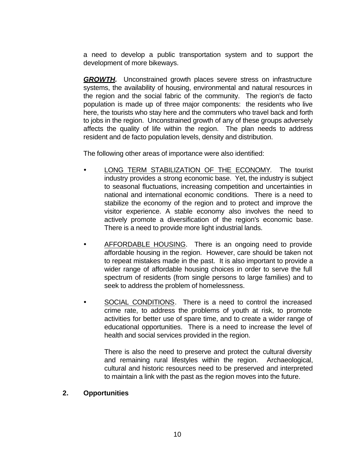a need to develop a public transportation system and to support the development of more bikeways.

**GROWTH.** Unconstrained growth places severe stress on infrastructure systems, the availability of housing, environmental and natural resources in the region and the social fabric of the community. The region's de facto population is made up of three major components: the residents who live here, the tourists who stay here and the commuters who travel back and forth to jobs in the region. Unconstrained growth of any of these groups adversely affects the quality of life within the region. The plan needs to address resident and de facto population levels, density and distribution.

The following other areas of importance were also identified:

- LONG TERM STABILIZATION OF THE ECONOMY. The tourist industry provides a strong economic base. Yet, the industry is subject to seasonal fluctuations, increasing competition and uncertainties in national and international economic conditions. There is a need to stabilize the economy of the region and to protect and improve the visitor experience. A stable economy also involves the need to actively promote a diversification of the region's economic base. There is a need to provide more light industrial lands.
- AFFORDABLE HOUSING. There is an ongoing need to provide affordable housing in the region. However, care should be taken not to repeat mistakes made in the past. It is also important to provide a wider range of affordable housing choices in order to serve the full spectrum of residents (from single persons to large families) and to seek to address the problem of homelessness.
- SOCIAL CONDITIONS. There is a need to control the increased crime rate, to address the problems of youth at risk, to promote activities for better use of spare time, and to create a wider range of educational opportunities. There is a need to increase the level of health and social services provided in the region.

There is also the need to preserve and protect the cultural diversity and remaining rural lifestyles within the region. Archaeological, cultural and historic resources need to be preserved and interpreted to maintain a link with the past as the region moves into the future.

#### **2. Opportunities**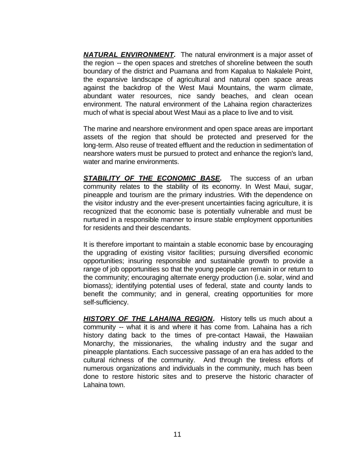*NATURAL ENVIRONMENT.* The natural environment is a major asset of the region -- the open spaces and stretches of shoreline between the south boundary of the district and Puamana and from Kapalua to Nakalele Point, the expansive landscape of agricultural and natural open space areas against the backdrop of the West Maui Mountains, the warm climate, abundant water resources, nice sandy beaches, and clean ocean environment. The natural environment of the Lahaina region characterizes much of what is special about West Maui as a place to live and to visit.

The marine and nearshore environment and open space areas are important assets of the region that should be protected and preserved for the long-term. Also reuse of treated effluent and the reduction in sedimentation of nearshore waters must be pursued to protect and enhance the region's land, water and marine environments.

**STABILITY OF THE ECONOMIC BASE.** The success of an urban community relates to the stability of its economy. In West Maui, sugar, pineapple and tourism are the primary industries. With the dependence on the visitor industry and the ever-present uncertainties facing agriculture, it is recognized that the economic base is potentially vulnerable and must be nurtured in a responsible manner to insure stable employment opportunities for residents and their descendants.

It is therefore important to maintain a stable economic base by encouraging the upgrading of existing visitor facilities; pursuing diversified economic opportunities; insuring responsible and sustainable growth to provide a range of job opportunities so that the young people can remain in or return to the community; encouraging alternate energy production (i.e. solar, wind and biomass); identifying potential uses of federal, state and county lands to benefit the community; and in general, creating opportunities for more self-sufficiency.

*HISTORY OF THE LAHAINA REGION.* History tells us much about a community -- what it is and where it has come from. Lahaina has a rich history dating back to the times of pre-contact Hawaii, the Hawaiian Monarchy, the missionaries, the whaling industry and the sugar and pineapple plantations. Each successive passage of an era has added to the cultural richness of the community. And through the tireless efforts of numerous organizations and individuals in the community, much has been done to restore historic sites and to preserve the historic character of Lahaina town.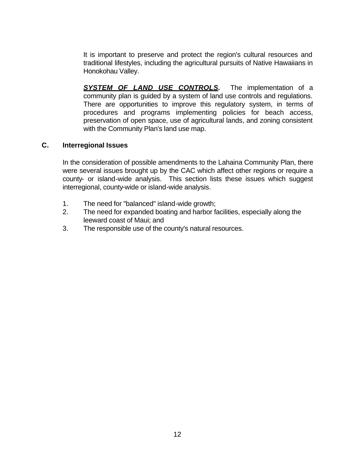It is important to preserve and protect the region's cultural resources and traditional lifestyles, including the agricultural pursuits of Native Hawaiians in Honokohau Valley.

**SYSTEM OF LAND USE CONTROLS.** The implementation of a community plan is guided by a system of land use controls and regulations. There are opportunities to improve this regulatory system, in terms of procedures and programs implementing policies for beach access, preservation of open space, use of agricultural lands, and zoning consistent with the Community Plan's land use map.

#### **C. Interregional Issues**

In the consideration of possible amendments to the Lahaina Community Plan, there were several issues brought up by the CAC which affect other regions or require a county- or island-wide analysis. This section lists these issues which suggest interregional, county-wide or island-wide analysis.

- 1. The need for "balanced" island-wide growth;
- 2. The need for expanded boating and harbor facilities, especially along the leeward coast of Maui; and
- 3. The responsible use of the county's natural resources.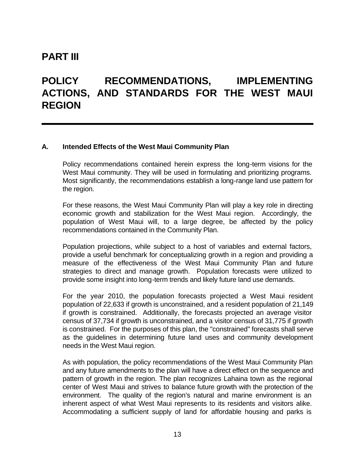# **PART III**

# **POLICY RECOMMENDATIONS, IMPLEMENTING ACTIONS, AND STANDARDS FOR THE WEST MAUI REGION**

#### **A. Intended Effects of the West Maui Community Plan**

Policy recommendations contained herein express the long-term visions for the West Maui community. They will be used in formulating and prioritizing programs. Most significantly, the recommendations establish a long-range land use pattern for the region.

For these reasons, the West Maui Community Plan will play a key role in directing economic growth and stabilization for the West Maui region. Accordingly, the population of West Maui will, to a large degree, be affected by the policy recommendations contained in the Community Plan.

Population projections, while subject to a host of variables and external factors, provide a useful benchmark for conceptualizing growth in a region and providing a measure of the effectiveness of the West Maui Community Plan and future strategies to direct and manage growth. Population forecasts were utilized to provide some insight into long-term trends and likely future land use demands.

For the year 2010, the population forecasts projected a West Maui resident population of 22,633 if growth is unconstrained, and a resident population of 21,149 if growth is constrained. Additionally, the forecasts projected an average visitor census of 37,734 if growth is unconstrained, and a visitor census of 31,775 if growth is constrained. For the purposes of this plan, the "constrained" forecasts shall serve as the guidelines in determining future land uses and community development needs in the West Maui region.

As with population, the policy recommendations of the West Maui Community Plan and any future amendments to the plan will have a direct effect on the sequence and pattern of growth in the region. The plan recognizes Lahaina town as the regional center of West Maui and strives to balance future growth with the protection of the environment. The quality of the region's natural and marine environment is an inherent aspect of what West Maui represents to its residents and visitors alike. Accommodating a sufficient supply of land for affordable housing and parks is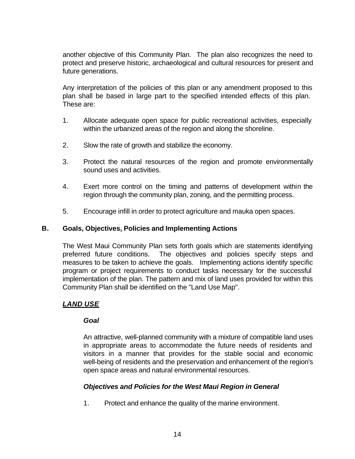another objective of this Community Plan. The plan also recognizes the need to protect and preserve historic, archaeological and cultural resources for present and future generations.

Any interpretation of the policies of this plan or any amendment proposed to this plan shall be based in large part to the specified intended effects of this plan. These are:

- 1. Allocate adequate open space for public recreational activities, especially within the urbanized areas of the region and along the shoreline.
- 2. Slow the rate of growth and stabilize the economy.
- 3. Protect the natural resources of the region and promote environmentally sound uses and activities.
- 4. Exert more control on the timing and patterns of development within the region through the community plan, zoning, and the permitting process.
- 5. Encourage infill in order to protect agriculture and mauka open spaces.

#### **B. Goals, Objectives, Policies and Implementing Actions**

The West Maui Community Plan sets forth goals which are statements identifying preferred future conditions. The objectives and policies specify steps and measures to be taken to achieve the goals. Implementing actions identify specific program or project requirements to conduct tasks necessary for the successful implementation of the plan. The pattern and mix of land uses provided for within this Community Plan shall be identified on the "Land Use Map".

# *LAND USE*

#### *Goal*

An attractive, well-planned community with a mixture of compatible land uses in appropriate areas to accommodate the future needs of residents and visitors in a manner that provides for the stable social and economic well-being of residents and the preservation and enhancement of the region's open space areas and natural environmental resources.

# *Objectives and Policies for the West Maui Region in General*

1. Protect and enhance the quality of the marine environment.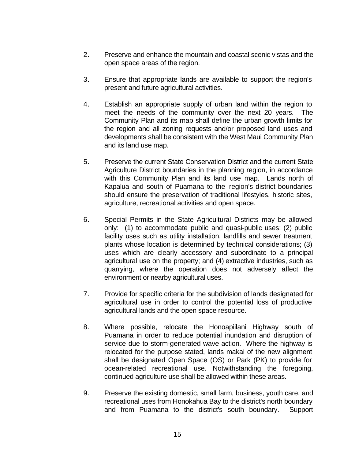- 2. Preserve and enhance the mountain and coastal scenic vistas and the open space areas of the region.
- 3. Ensure that appropriate lands are available to support the region's present and future agricultural activities.
- 4. Establish an appropriate supply of urban land within the region to meet the needs of the community over the next 20 years. The Community Plan and its map shall define the urban growth limits for the region and all zoning requests and/or proposed land uses and developments shall be consistent with the West Maui Community Plan and its land use map.
- 5. Preserve the current State Conservation District and the current State Agriculture District boundaries in the planning region, in accordance with this Community Plan and its land use map. Lands north of Kapalua and south of Puamana to the region's district boundaries should ensure the preservation of traditional lifestyles, historic sites, agriculture, recreational activities and open space.
- 6. Special Permits in the State Agricultural Districts may be allowed only: (1) to accommodate public and quasi-public uses; (2) public facility uses such as utility installation, landfills and sewer treatment plants whose location is determined by technical considerations; (3) uses which are clearly accessory and subordinate to a principal agricultural use on the property; and (4) extractive industries, such as quarrying, where the operation does not adversely affect the environment or nearby agricultural uses.
- 7. Provide for specific criteria for the subdivision of lands designated for agricultural use in order to control the potential loss of productive agricultural lands and the open space resource.
- 8. Where possible, relocate the Honoapiilani Highway south of Puamana in order to reduce potential inundation and disruption of service due to storm-generated wave action. Where the highway is relocated for the purpose stated, lands makai of the new alignment shall be designated Open Space (OS) or Park (PK) to provide for ocean-related recreational use. Notwithstanding the foregoing, continued agriculture use shall be allowed within these areas.
- 9. Preserve the existing domestic, small farm, business, youth care, and recreational uses from Honokahua Bay to the district's north boundary and from Puamana to the district's south boundary. Support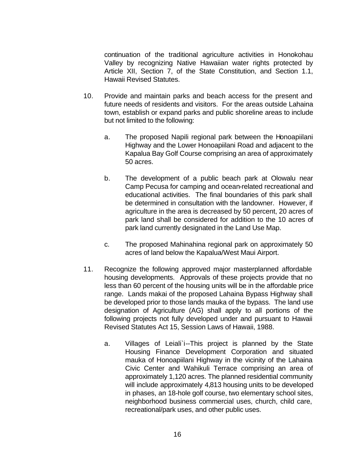continuation of the traditional agriculture activities in Honokohau Valley by recognizing Native Hawaiian water rights protected by Article XII, Section 7, of the State Constitution, and Section 1.1, Hawaii Revised Statutes.

- 10. Provide and maintain parks and beach access for the present and future needs of residents and visitors. For the areas outside Lahaina town, establish or expand parks and public shoreline areas to include but not limited to the following:
	- a. The proposed Napili regional park between the Honoapiilani Highway and the Lower Honoapiilani Road and adjacent to the Kapalua Bay Golf Course comprising an area of approximately 50 acres.
	- b. The development of a public beach park at Olowalu near Camp Pecusa for camping and ocean-related recreational and educational activities. The final boundaries of this park shall be determined in consultation with the landowner. However, if agriculture in the area is decreased by 50 percent, 20 acres of park land shall be considered for addition to the 10 acres of park land currently designated in the Land Use Map.
	- c. The proposed Mahinahina regional park on approximately 50 acres of land below the Kapalua/West Maui Airport.
- 11. Recognize the following approved major masterplanned affordable housing developments. Approvals of these projects provide that no less than 60 percent of the housing units will be in the affordable price range. Lands makai of the proposed Lahaina Bypass Highway shall be developed prior to those lands mauka of the bypass. The land use designation of Agriculture (AG) shall apply to all portions of the following projects not fully developed under and pursuant to Hawaii Revised Statutes Act 15, Session Laws of Hawaii, 1988.
	- a. Villages of Leiali`i--This project is planned by the State Housing Finance Development Corporation and situated mauka of Honoapiilani Highway in the vicinity of the Lahaina Civic Center and Wahikuli Terrace comprising an area of approximately 1,120 acres. The planned residential community will include approximately 4,813 housing units to be developed in phases, an 18-hole golf course, two elementary school sites, neighborhood business commercial uses, church, child care, recreational/park uses, and other public uses.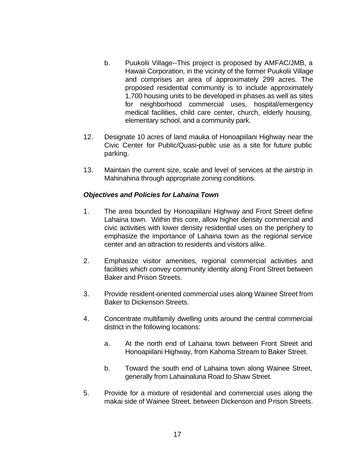- b. Puukolii Village--This project is proposed by AMFAC/JMB, a Hawaii Corporation, in the vicinity of the former Puukolii Village and comprises an area of approximately 299 acres. The proposed residential community is to include approximately 1,700 housing units to be developed in phases as well as sites for neighborhood commercial uses, hospital/emergency medical facilities, child care center, church, elderly housing, elementary school, and a community park.
- 12. Designate 10 acres of land mauka of Honoapiilani Highway near the Civic Center for Public/Quasi-public use as a site for future public parking.
- 13. Maintain the current size, scale and level of services at the airstrip in Mahinahina through appropriate zoning conditions.

#### *Objectives and Policies for Lahaina Town*

- 1. The area bounded by Honoapiilani Highway and Front Street define Lahaina town. Within this core, allow higher density commercial and civic activities with lower density residential uses on the periphery to emphasize the importance of Lahaina town as the regional service center and an attraction to residents and visitors alike.
- 2. Emphasize visitor amenities, regional commercial activities and facilities which convey community identity along Front Street between Baker and Prison Streets.
- 3. Provide resident-oriented commercial uses along Wainee Street from Baker to Dickenson Streets.
- 4. Concentrate multifamily dwelling units around the central commercial district in the following locations:
	- a. At the north end of Lahaina town between Front Street and Honoapiilani Highway, from Kahoma Stream to Baker Street.
	- b. Toward the south end of Lahaina town along Wainee Street, generally from Lahainaluna Road to Shaw Street.
- 5. Provide for a mixture of residential and commercial uses along the makai side of Wainee Street, between Dickenson and Prison Streets.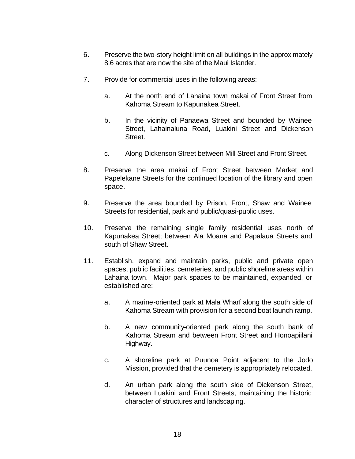- 6. Preserve the two-story height limit on all buildings in the approximately 8.6 acres that are now the site of the Maui Islander.
- 7. Provide for commercial uses in the following areas:
	- a. At the north end of Lahaina town makai of Front Street from Kahoma Stream to Kapunakea Street.
	- b. In the vicinity of Panaewa Street and bounded by Wainee Street, Lahainaluna Road, Luakini Street and Dickenson Street.
	- c. Along Dickenson Street between Mill Street and Front Street.
- 8. Preserve the area makai of Front Street between Market and Papelekane Streets for the continued location of the library and open space.
- 9. Preserve the area bounded by Prison, Front, Shaw and Wainee Streets for residential, park and public/quasi-public uses.
- 10. Preserve the remaining single family residential uses north of Kapunakea Street; between Ala Moana and Papalaua Streets and south of Shaw Street.
- 11. Establish, expand and maintain parks, public and private open spaces, public facilities, cemeteries, and public shoreline areas within Lahaina town. Major park spaces to be maintained, expanded, or established are:
	- a. A marine-oriented park at Mala Wharf along the south side of Kahoma Stream with provision for a second boat launch ramp.
	- b. A new community-oriented park along the south bank of Kahoma Stream and between Front Street and Honoapiilani Highway.
	- c. A shoreline park at Puunoa Point adjacent to the Jodo Mission, provided that the cemetery is appropriately relocated.
	- d. An urban park along the south side of Dickenson Street, between Luakini and Front Streets, maintaining the historic character of structures and landscaping.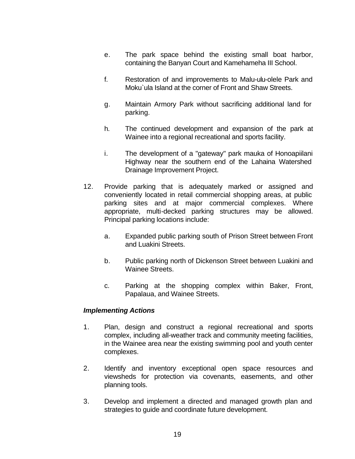- e. The park space behind the existing small boat harbor, containing the Banyan Court and Kamehameha III School.
- f. Restoration of and improvements to Malu-ulu-olele Park and Moku`ula Island at the corner of Front and Shaw Streets.
- g. Maintain Armory Park without sacrificing additional land for parking.
- h. The continued development and expansion of the park at Wainee into a regional recreational and sports facility.
- i. The development of a "gateway" park mauka of Honoapiilani Highway near the southern end of the Lahaina Watershed Drainage Improvement Project.
- 12. Provide parking that is adequately marked or assigned and conveniently located in retail commercial shopping areas, at public parking sites and at major commercial complexes. Where appropriate, multi-decked parking structures may be allowed. Principal parking locations include:
	- a. Expanded public parking south of Prison Street between Front and Luakini Streets.
	- b. Public parking north of Dickenson Street between Luakini and Wainee Streets.
	- c. Parking at the shopping complex within Baker, Front, Papalaua, and Wainee Streets.

#### *Implementing Actions*

- 1. Plan, design and construct a regional recreational and sports complex, including all-weather track and community meeting facilities, in the Wainee area near the existing swimming pool and youth center complexes.
- 2. Identify and inventory exceptional open space resources and viewsheds for protection via covenants, easements, and other planning tools.
- 3. Develop and implement a directed and managed growth plan and strategies to guide and coordinate future development.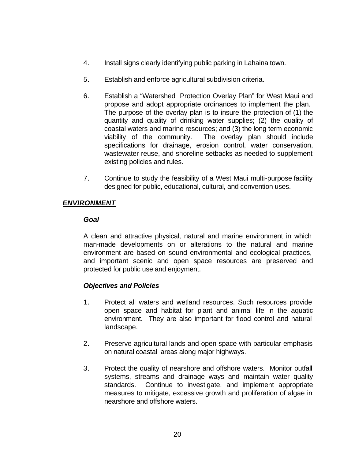- 4. Install signs clearly identifying public parking in Lahaina town.
- 5. Establish and enforce agricultural subdivision criteria.
- 6. Establish a "Watershed Protection Overlay Plan" for West Maui and propose and adopt appropriate ordinances to implement the plan. The purpose of the overlay plan is to insure the protection of (1) the quantity and quality of drinking water supplies; (2) the quality of coastal waters and marine resources; and (3) the long term economic viability of the community. The overlay plan should include specifications for drainage, erosion control, water conservation, wastewater reuse, and shoreline setbacks as needed to supplement existing policies and rules.
- 7. Continue to study the feasibility of a West Maui multi-purpose facility designed for public, educational, cultural, and convention uses.

# *ENVIRONMENT*

#### *Goal*

A clean and attractive physical, natural and marine environment in which man-made developments on or alterations to the natural and marine environment are based on sound environmental and ecological practices, and important scenic and open space resources are preserved and protected for public use and enjoyment.

# *Objectives and Policies*

- 1. Protect all waters and wetland resources. Such resources provide open space and habitat for plant and animal life in the aquatic environment. They are also important for flood control and natural landscape.
- 2. Preserve agricultural lands and open space with particular emphasis on natural coastal areas along major highways.
- 3. Protect the quality of nearshore and offshore waters. Monitor outfall systems, streams and drainage ways and maintain water quality standards. Continue to investigate, and implement appropriate measures to mitigate, excessive growth and proliferation of algae in nearshore and offshore waters.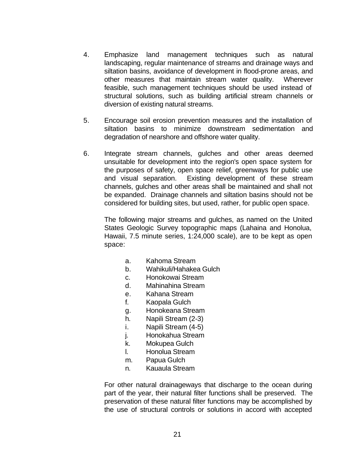- 4. Emphasize land management techniques such as natural landscaping, regular maintenance of streams and drainage ways and siltation basins, avoidance of development in flood-prone areas, and other measures that maintain stream water quality. Wherever feasible, such management techniques should be used instead of structural solutions, such as building artificial stream channels or diversion of existing natural streams.
- 5. Encourage soil erosion prevention measures and the installation of siltation basins to minimize downstream sedimentation and degradation of nearshore and offshore water quality.
- 6. Integrate stream channels, gulches and other areas deemed unsuitable for development into the region's open space system for the purposes of safety, open space relief, greenways for public use and visual separation. Existing development of these stream channels, gulches and other areas shall be maintained and shall not be expanded. Drainage channels and siltation basins should not be considered for building sites, but used, rather, for public open space.

The following major streams and gulches, as named on the United States Geologic Survey topographic maps (Lahaina and Honolua, Hawaii, 7.5 minute series, 1:24,000 scale), are to be kept as open space:

- a. Kahoma Stream
- b. Wahikuli/Hahakea Gulch
- c. Honokowai Stream
- d. Mahinahina Stream
- e. Kahana Stream
- f. Kaopala Gulch
- g. Honokeana Stream
- h. Napili Stream (2-3)
- i. Napili Stream (4-5)
- j. Honokahua Stream
- k. Mokupea Gulch
- l. Honolua Stream
- m. Papua Gulch
- n. Kauaula Stream

For other natural drainageways that discharge to the ocean during part of the year, their natural filter functions shall be preserved. The preservation of these natural filter functions may be accomplished by the use of structural controls or solutions in accord with accepted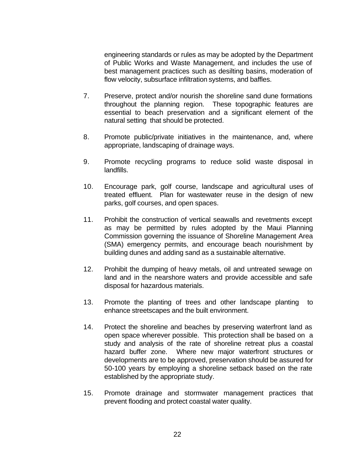engineering standards or rules as may be adopted by the Department of Public Works and Waste Management, and includes the use of best management practices such as desilting basins, moderation of flow velocity, subsurface infiltration systems, and baffles.

- 7. Preserve, protect and/or nourish the shoreline sand dune formations throughout the planning region. These topographic features are essential to beach preservation and a significant element of the natural setting that should be protected.
- 8. Promote public/private initiatives in the maintenance, and, where appropriate, landscaping of drainage ways.
- 9. Promote recycling programs to reduce solid waste disposal in landfills.
- 10. Encourage park, golf course, landscape and agricultural uses of treated effluent. Plan for wastewater reuse in the design of new parks, golf courses, and open spaces.
- 11. Prohibit the construction of vertical seawalls and revetments except as may be permitted by rules adopted by the Maui Planning Commission governing the issuance of Shoreline Management Area (SMA) emergency permits, and encourage beach nourishment by building dunes and adding sand as a sustainable alternative.
- 12. Prohibit the dumping of heavy metals, oil and untreated sewage on land and in the nearshore waters and provide accessible and safe disposal for hazardous materials.
- 13. Promote the planting of trees and other landscape planting to enhance streetscapes and the built environment.
- 14. Protect the shoreline and beaches by preserving waterfront land as open space wherever possible. This protection shall be based on a study and analysis of the rate of shoreline retreat plus a coastal hazard buffer zone. Where new major waterfront structures or developments are to be approved, preservation should be assured for 50-100 years by employing a shoreline setback based on the rate established by the appropriate study.
- 15. Promote drainage and stormwater management practices that prevent flooding and protect coastal water quality.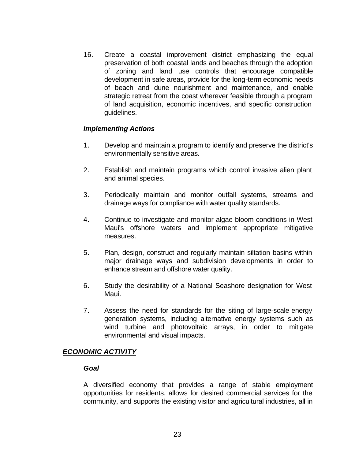16. Create a coastal improvement district emphasizing the equal preservation of both coastal lands and beaches through the adoption of zoning and land use controls that encourage compatible development in safe areas, provide for the long-term economic needs of beach and dune nourishment and maintenance, and enable strategic retreat from the coast wherever feasible through a program of land acquisition, economic incentives, and specific construction guidelines.

#### *Implementing Actions*

- 1. Develop and maintain a program to identify and preserve the district's environmentally sensitive areas.
- 2. Establish and maintain programs which control invasive alien plant and animal species.
- 3. Periodically maintain and monitor outfall systems, streams and drainage ways for compliance with water quality standards.
- 4. Continue to investigate and monitor algae bloom conditions in West Maui's offshore waters and implement appropriate mitigative measures.
- 5. Plan, design, construct and regularly maintain siltation basins within major drainage ways and subdivision developments in order to enhance stream and offshore water quality.
- 6. Study the desirability of a National Seashore designation for West Maui.
- 7. Assess the need for standards for the siting of large-scale energy generation systems, including alternative energy systems such as wind turbine and photovoltaic arrays, in order to mitigate environmental and visual impacts.

#### *ECONOMIC ACTIVITY*

#### *Goal*

A diversified economy that provides a range of stable employment opportunities for residents, allows for desired commercial services for the community, and supports the existing visitor and agricultural industries, all in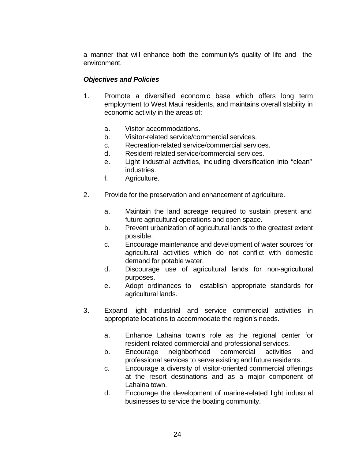a manner that will enhance both the community's quality of life and the environment.

# *Objectives and Policies*

- 1. Promote a diversified economic base which offers long term employment to West Maui residents, and maintains overall stability in economic activity in the areas of:
	- a. Visitor accommodations.
	- b. Visitor-related service/commercial services.
	- c. Recreation-related service/commercial services.
	- d. Resident-related service/commercial services.
	- e. Light industrial activities, including diversification into "clean" industries.
	- f. Agriculture.
- 2. Provide for the preservation and enhancement of agriculture.
	- a. Maintain the land acreage required to sustain present and future agricultural operations and open space.
	- b. Prevent urbanization of agricultural lands to the greatest extent possible.
	- c. Encourage maintenance and development of water sources for agricultural activities which do not conflict with domestic demand for potable water.
	- d. Discourage use of agricultural lands for non-agricultural purposes.
	- e. Adopt ordinances to establish appropriate standards for agricultural lands.
- 3. Expand light industrial and service commercial activities in appropriate locations to accommodate the region's needs.
	- a. Enhance Lahaina town's role as the regional center for resident-related commercial and professional services.
	- b. Encourage neighborhood commercial activities and professional services to serve existing and future residents.
	- c. Encourage a diversity of visitor-oriented commercial offerings at the resort destinations and as a major component of Lahaina town.
	- d. Encourage the development of marine-related light industrial businesses to service the boating community.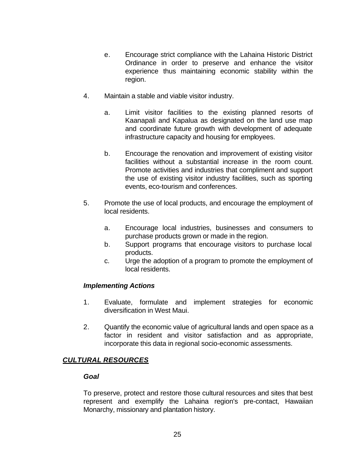- e. Encourage strict compliance with the Lahaina Historic District Ordinance in order to preserve and enhance the visitor experience thus maintaining economic stability within the region.
- 4. Maintain a stable and viable visitor industry.
	- a. Limit visitor facilities to the existing planned resorts of Kaanapali and Kapalua as designated on the land use map and coordinate future growth with development of adequate infrastructure capacity and housing for employees.
	- b. Encourage the renovation and improvement of existing visitor facilities without a substantial increase in the room count. Promote activities and industries that compliment and support the use of existing visitor industry facilities, such as sporting events, eco-tourism and conferences.
- 5. Promote the use of local products, and encourage the employment of local residents.
	- a. Encourage local industries, businesses and consumers to purchase products grown or made in the region.
	- b. Support programs that encourage visitors to purchase local products.
	- c. Urge the adoption of a program to promote the employment of local residents.

# *Implementing Actions*

- 1. Evaluate, formulate and implement strategies for economic diversification in West Maui.
- 2. Quantify the economic value of agricultural lands and open space as a factor in resident and visitor satisfaction and as appropriate, incorporate this data in regional socio-economic assessments.

# *CULTURAL RESOURCES*

#### *Goal*

To preserve, protect and restore those cultural resources and sites that best represent and exemplify the Lahaina region's pre-contact, Hawaiian Monarchy, missionary and plantation history.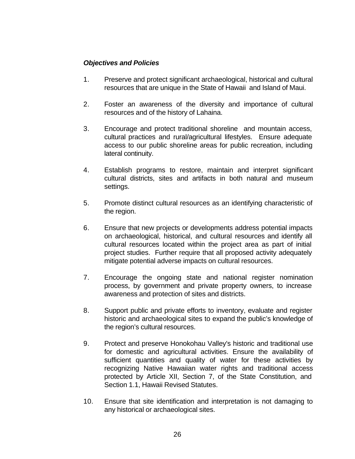### *Objectives and Policies*

- 1. Preserve and protect significant archaeological, historical and cultural resources that are unique in the State of Hawaii and Island of Maui.
- 2. Foster an awareness of the diversity and importance of cultural resources and of the history of Lahaina.
- 3. Encourage and protect traditional shoreline and mountain access, cultural practices and rural/agricultural lifestyles. Ensure adequate access to our public shoreline areas for public recreation, including lateral continuity.
- 4. Establish programs to restore, maintain and interpret significant cultural districts, sites and artifacts in both natural and museum settings.
- 5. Promote distinct cultural resources as an identifying characteristic of the region.
- 6. Ensure that new projects or developments address potential impacts on archaeological, historical, and cultural resources and identify all cultural resources located within the project area as part of initial project studies. Further require that all proposed activity adequately mitigate potential adverse impacts on cultural resources.
- 7. Encourage the ongoing state and national register nomination process, by government and private property owners, to increase awareness and protection of sites and districts.
- 8. Support public and private efforts to inventory, evaluate and register historic and archaeological sites to expand the public's knowledge of the region's cultural resources.
- 9. Protect and preserve Honokohau Valley's historic and traditional use for domestic and agricultural activities. Ensure the availability of sufficient quantities and quality of water for these activities by recognizing Native Hawaiian water rights and traditional access protected by Article XII, Section 7, of the State Constitution, and Section 1.1, Hawaii Revised Statutes.
- 10. Ensure that site identification and interpretation is not damaging to any historical or archaeological sites.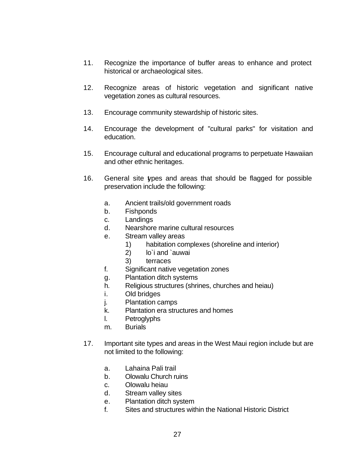- 11. Recognize the importance of buffer areas to enhance and protect historical or archaeological sites.
- 12. Recognize areas of historic vegetation and significant native vegetation zones as cultural resources.
- 13. Encourage community stewardship of historic sites.
- 14. Encourage the development of "cultural parks" for visitation and education.
- 15. Encourage cultural and educational programs to perpetuate Hawaiian and other ethnic heritages.
- 16. General site types and areas that should be flagged for possible preservation include the following:
	- a. Ancient trails/old government roads
	- b. Fishponds
	- c. Landings
	- d. Nearshore marine cultural resources
	- e. Stream valley areas
		- 1) habitation complexes (shoreline and interior)
		- 2) lo`i and `auwai
		- 3) terraces
	- f. Significant native vegetation zones
	- g. Plantation ditch systems
	- h. Religious structures (shrines, churches and heiau)
	- i. Old bridges
	- j. Plantation camps
	- k. Plantation era structures and homes
	- l. Petroglyphs
	- m. Burials
- 17. Important site types and areas in the West Maui region include but are not limited to the following:
	- a. Lahaina Pali trail
	- b. Olowalu Church ruins
	- c. Olowalu heiau
	- d. Stream valley sites
	- e. Plantation ditch system
	- f. Sites and structures within the National Historic District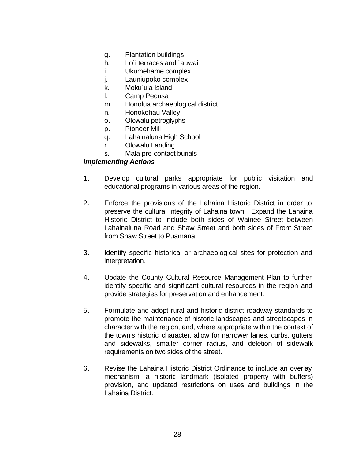- g. Plantation buildings
- h. Lo`i terraces and `auwai
- i. Ukumehame complex
- j. Launiupoko complex
- k. Moku`ula Island
- l. Camp Pecusa
- m. Honolua archaeological district
- n. Honokohau Valley
- o. Olowalu petroglyphs
- p. Pioneer Mill
- q. Lahainaluna High School
- r. Olowalu Landing
- s. Mala pre-contact burials

#### *Implementing Actions*

- 1. Develop cultural parks appropriate for public visitation and educational programs in various areas of the region.
- 2. Enforce the provisions of the Lahaina Historic District in order to preserve the cultural integrity of Lahaina town. Expand the Lahaina Historic District to include both sides of Wainee Street between Lahainaluna Road and Shaw Street and both sides of Front Street from Shaw Street to Puamana.
- 3. Identify specific historical or archaeological sites for protection and interpretation.
- 4. Update the County Cultural Resource Management Plan to further identify specific and significant cultural resources in the region and provide strategies for preservation and enhancement.
- 5. Formulate and adopt rural and historic district roadway standards to promote the maintenance of historic landscapes and streetscapes in character with the region, and, where appropriate within the context of the town's historic character, allow for narrower lanes, curbs, gutters and sidewalks, smaller corner radius, and deletion of sidewalk requirements on two sides of the street.
- 6. Revise the Lahaina Historic District Ordinance to include an overlay mechanism, a historic landmark (isolated property with buffers) provision, and updated restrictions on uses and buildings in the Lahaina District.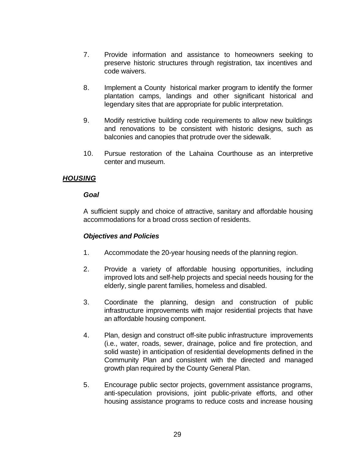- 7. Provide information and assistance to homeowners seeking to preserve historic structures through registration, tax incentives and code waivers.
- 8. Implement a County historical marker program to identify the former plantation camps, landings and other significant historical and legendary sites that are appropriate for public interpretation.
- 9. Modify restrictive building code requirements to allow new buildings and renovations to be consistent with historic designs, such as balconies and canopies that protrude over the sidewalk.
- 10. Pursue restoration of the Lahaina Courthouse as an interpretive center and museum.

# *HOUSING*

#### *Goal*

A sufficient supply and choice of attractive, sanitary and affordable housing accommodations for a broad cross section of residents.

# *Objectives and Policies*

- 1. Accommodate the 20-year housing needs of the planning region.
- 2. Provide a variety of affordable housing opportunities, including improved lots and self-help projects and special needs housing for the elderly, single parent families, homeless and disabled.
- 3. Coordinate the planning, design and construction of public infrastructure improvements with major residential projects that have an affordable housing component.
- 4. Plan, design and construct off-site public infrastructure improvements (i.e., water, roads, sewer, drainage, police and fire protection, and solid waste) in anticipation of residential developments defined in the Community Plan and consistent with the directed and managed growth plan required by the County General Plan.
- 5. Encourage public sector projects, government assistance programs, anti-speculation provisions, joint public-private efforts, and other housing assistance programs to reduce costs and increase housing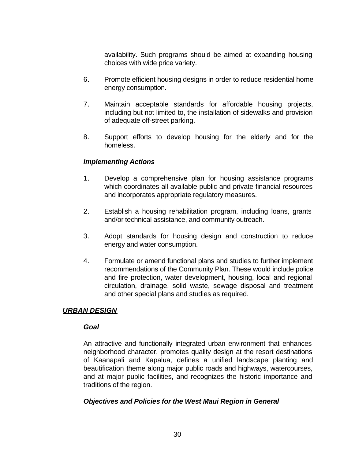availability. Such programs should be aimed at expanding housing choices with wide price variety.

- 6. Promote efficient housing designs in order to reduce residential home energy consumption.
- 7. Maintain acceptable standards for affordable housing projects, including but not limited to, the installation of sidewalks and provision of adequate off-street parking.
- 8. Support efforts to develop housing for the elderly and for the homeless.

#### *Implementing Actions*

- 1. Develop a comprehensive plan for housing assistance programs which coordinates all available public and private financial resources and incorporates appropriate regulatory measures.
- 2. Establish a housing rehabilitation program, including loans, grants and/or technical assistance, and community outreach.
- 3. Adopt standards for housing design and construction to reduce energy and water consumption.
- 4. Formulate or amend functional plans and studies to further implement recommendations of the Community Plan. These would include police and fire protection, water development, housing, local and regional circulation, drainage, solid waste, sewage disposal and treatment and other special plans and studies as required.

#### *URBAN DESIGN*

#### *Goal*

An attractive and functionally integrated urban environment that enhances neighborhood character, promotes quality design at the resort destinations of Kaanapali and Kapalua, defines a unified landscape planting and beautification theme along major public roads and highways, watercourses, and at major public facilities, and recognizes the historic importance and traditions of the region.

#### *Objectives and Policies for the West Maui Region in General*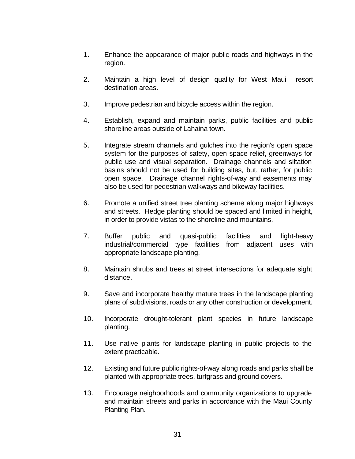- 1. Enhance the appearance of major public roads and highways in the region.
- 2. Maintain a high level of design quality for West Maui resort destination areas.
- 3. Improve pedestrian and bicycle access within the region.
- 4. Establish, expand and maintain parks, public facilities and public shoreline areas outside of Lahaina town.
- 5. Integrate stream channels and gulches into the region's open space system for the purposes of safety, open space relief, greenways for public use and visual separation. Drainage channels and siltation basins should not be used for building sites, but, rather, for public open space. Drainage channel rights-of-way and easements may also be used for pedestrian walkways and bikeway facilities.
- 6. Promote a unified street tree planting scheme along major highways and streets. Hedge planting should be spaced and limited in height, in order to provide vistas to the shoreline and mountains.
- 7. Buffer public and quasi-public facilities and light-heavy industrial/commercial type facilities from adjacent uses with appropriate landscape planting.
- 8. Maintain shrubs and trees at street intersections for adequate sight distance.
- 9. Save and incorporate healthy mature trees in the landscape planting plans of subdivisions, roads or any other construction or development.
- 10. Incorporate drought-tolerant plant species in future landscape planting.
- 11. Use native plants for landscape planting in public projects to the extent practicable.
- 12. Existing and future public rights-of-way along roads and parks shall be planted with appropriate trees, turfgrass and ground covers.
- 13. Encourage neighborhoods and community organizations to upgrade and maintain streets and parks in accordance with the Maui County Planting Plan.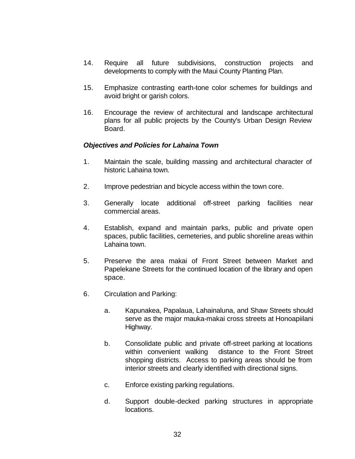- 14. Require all future subdivisions, construction projects and developments to comply with the Maui County Planting Plan.
- 15. Emphasize contrasting earth-tone color schemes for buildings and avoid bright or garish colors.
- 16. Encourage the review of architectural and landscape architectural plans for all public projects by the County's Urban Design Review **Board**

#### *Objectives and Policies for Lahaina Town*

- 1. Maintain the scale, building massing and architectural character of historic Lahaina town.
- 2. Improve pedestrian and bicycle access within the town core.
- 3. Generally locate additional off-street parking facilities near commercial areas.
- 4. Establish, expand and maintain parks, public and private open spaces, public facilities, cemeteries, and public shoreline areas within Lahaina town.
- 5. Preserve the area makai of Front Street between Market and Papelekane Streets for the continued location of the library and open space.
- 6. Circulation and Parking:
	- a. Kapunakea, Papalaua, Lahainaluna, and Shaw Streets should serve as the major mauka-makai cross streets at Honoapiilani Highway.
	- b. Consolidate public and private off-street parking at locations within convenient walking distance to the Front Street shopping districts. Access to parking areas should be from interior streets and clearly identified with directional signs.
	- c. Enforce existing parking regulations.
	- d. Support double-decked parking structures in appropriate locations.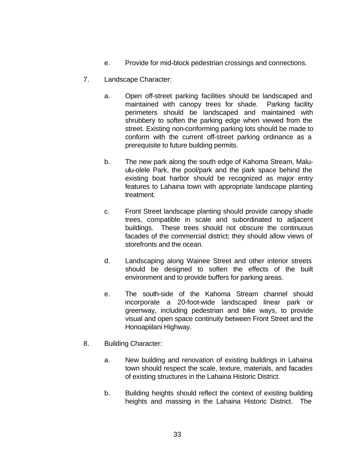- e. Provide for mid-block pedestrian crossings and connections.
- 7. Landscape Character:
	- a. Open off-street parking facilities should be landscaped and maintained with canopy trees for shade. Parking facility perimeters should be landscaped and maintained with shrubbery to soften the parking edge when viewed from the street. Existing non-conforming parking lots should be made to conform with the current off-street parking ordinance as a prerequisite to future building permits.
	- b. The new park along the south edge of Kahoma Stream, Maluulu-olele Park, the pool/park and the park space behind the existing boat harbor should be recognized as major entry features to Lahaina town with appropriate landscape planting treatment.
	- c. Front Street landscape planting should provide canopy shade trees, compatible in scale and subordinated to adjacent buildings. These trees should not obscure the continuous facades of the commercial district; they should allow views of storefronts and the ocean.
	- d. Landscaping along Wainee Street and other interior streets should be designed to soften the effects of the built environment and to provide buffers for parking areas.
	- e. The south-side of the Kahoma Stream channel should incorporate a 20-foot-wide landscaped linear park or greenway, including pedestrian and bike ways, to provide visual and open space continuity between Front Street and the Honoapiilani Highway.
- 8. Building Character:
	- a. New building and renovation of existing buildings in Lahaina town should respect the scale, texture, materials, and facades of existing structures in the Lahaina Historic District.
	- b. Building heights should reflect the context of existing building heights and massing in the Lahaina Historic District. The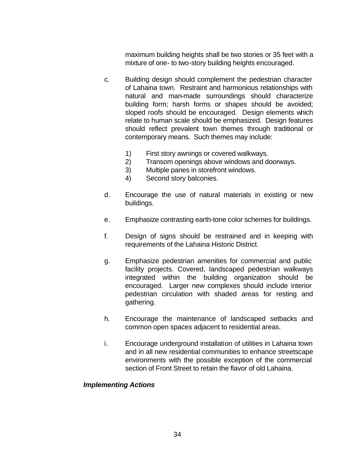maximum building heights shall be two stories or 35 feet with a mixture of one- to two-story building heights encouraged.

- c. Building design should complement the pedestrian character of Lahaina town. Restraint and harmonious relationships with natural and man-made surroundings should characterize building form; harsh forms or shapes should be avoided; sloped roofs should be encouraged. Design elements which relate to human scale should be emphasized. Design features should reflect prevalent town themes through traditional or contemporary means. Such themes may include:
	- 1) First story awnings or covered walkways.
	- 2) Transom openings above windows and doorways.
	- 3) Multiple panes in storefront windows.
	- 4) Second story balconies.
- d. Encourage the use of natural materials in existing or new buildings.
- e. Emphasize contrasting earth-tone color schemes for buildings.
- f. Design of signs should be restrained and in keeping with requirements of the Lahaina Historic District.
- g. Emphasize pedestrian amenities for commercial and public facility projects. Covered, landscaped pedestrian walkways integrated within the building organization should be encouraged. Larger new complexes should include interior pedestrian circulation with shaded areas for resting and gathering.
- h. Encourage the maintenance of landscaped setbacks and common open spaces adjacent to residential areas.
- i. Encourage underground installation of utilities in Lahaina town and in all new residential communities to enhance streetscape environments with the possible exception of the commercial section of Front Street to retain the flavor of old Lahaina.

#### *Implementing Actions*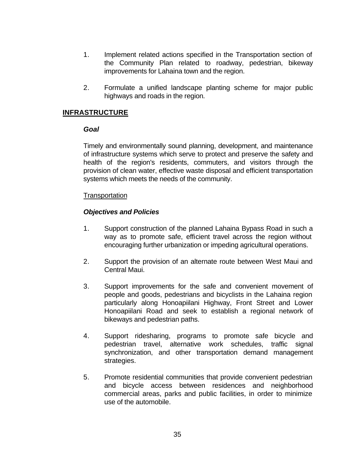- 1. Implement related actions specified in the Transportation section of the Community Plan related to roadway, pedestrian, bikeway improvements for Lahaina town and the region.
- 2. Formulate a unified landscape planting scheme for major public highways and roads in the region.

# **INFRASTRUCTURE**

#### *Goal*

Timely and environmentally sound planning, development, and maintenance of infrastructure systems which serve to protect and preserve the safety and health of the region's residents, commuters, and visitors through the provision of clean water, effective waste disposal and efficient transportation systems which meets the needs of the community.

## **Transportation**

- 1. Support construction of the planned Lahaina Bypass Road in such a way as to promote safe, efficient travel across the region without encouraging further urbanization or impeding agricultural operations.
- 2. Support the provision of an alternate route between West Maui and Central Maui.
- 3. Support improvements for the safe and convenient movement of people and goods, pedestrians and bicyclists in the Lahaina region particularly along Honoapiilani Highway, Front Street and Lower Honoapiilani Road and seek to establish a regional network of bikeways and pedestrian paths.
- 4. Support ridesharing, programs to promote safe bicycle and pedestrian travel, alternative work schedules, traffic signal synchronization, and other transportation demand management strategies.
- 5. Promote residential communities that provide convenient pedestrian and bicycle access between residences and neighborhood commercial areas, parks and public facilities, in order to minimize use of the automobile.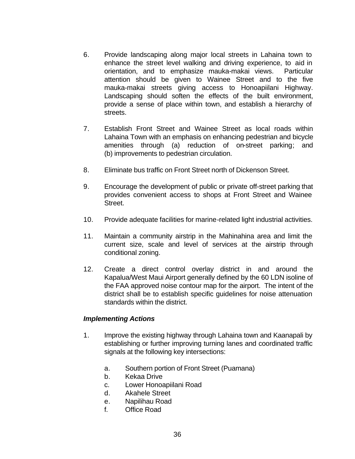- 6. Provide landscaping along major local streets in Lahaina town to enhance the street level walking and driving experience, to aid in orientation, and to emphasize mauka-makai views. Particular attention should be given to Wainee Street and to the five mauka-makai streets giving access to Honoapiilani Highway. Landscaping should soften the effects of the built environment, provide a sense of place within town, and establish a hierarchy of streets.
- 7. Establish Front Street and Wainee Street as local roads within Lahaina Town with an emphasis on enhancing pedestrian and bicycle amenities through (a) reduction of on-street parking; and (b) improvements to pedestrian circulation.
- 8. Eliminate bus traffic on Front Street north of Dickenson Street.
- 9. Encourage the development of public or private off-street parking that provides convenient access to shops at Front Street and Wainee Street.
- 10. Provide adequate facilities for marine-related light industrial activities.
- 11. Maintain a community airstrip in the Mahinahina area and limit the current size, scale and level of services at the airstrip through conditional zoning.
- 12. Create a direct control overlay district in and around the Kapalua/West Maui Airport generally defined by the 60 LDN isoline of the FAA approved noise contour map for the airport. The intent of the district shall be to establish specific guidelines for noise attenuation standards within the district.

- 1. Improve the existing highway through Lahaina town and Kaanapali by establishing or further improving turning lanes and coordinated traffic signals at the following key intersections:
	- a. Southern portion of Front Street (Puamana)
	- b. Kekaa Drive
	- c. Lower Honoapiilani Road
	- d. Akahele Street
	- e. Napilihau Road
	- f. Office Road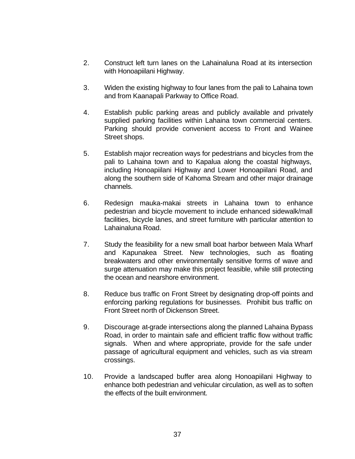- 2. Construct left turn lanes on the Lahainaluna Road at its intersection with Honoapiilani Highway.
- 3. Widen the existing highway to four lanes from the pali to Lahaina town and from Kaanapali Parkway to Office Road.
- 4. Establish public parking areas and publicly available and privately supplied parking facilities within Lahaina town commercial centers. Parking should provide convenient access to Front and Wainee Street shops.
- 5. Establish major recreation ways for pedestrians and bicycles from the pali to Lahaina town and to Kapalua along the coastal highways, including Honoapiilani Highway and Lower Honoapiilani Road, and along the southern side of Kahoma Stream and other major drainage channels.
- 6. Redesign mauka-makai streets in Lahaina town to enhance pedestrian and bicycle movement to include enhanced sidewalk/mall facilities, bicycle lanes, and street furniture with particular attention to Lahainaluna Road.
- 7. Study the feasibility for a new small boat harbor between Mala Wharf and Kapunakea Street. New technologies, such as floating breakwaters and other environmentally sensitive forms of wave and surge attenuation may make this project feasible, while still protecting the ocean and nearshore environment.
- 8. Reduce bus traffic on Front Street by designating drop-off points and enforcing parking regulations for businesses. Prohibit bus traffic on Front Street north of Dickenson Street.
- 9. Discourage at-grade intersections along the planned Lahaina Bypass Road, in order to maintain safe and efficient traffic flow without traffic signals. When and where appropriate, provide for the safe under passage of agricultural equipment and vehicles, such as via stream crossings.
- 10. Provide a landscaped buffer area along Honoapiilani Highway to enhance both pedestrian and vehicular circulation, as well as to soften the effects of the built environment.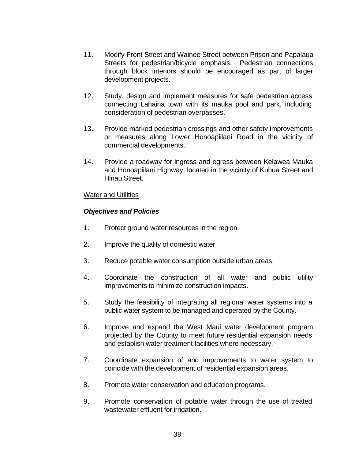- 11. Modify Front Street and Wainee Street between Prison and Papalaua Streets for pedestrian/bicycle emphasis. Pedestrian connections through block interiors should be encouraged as part of larger development projects.
- 12. Study, design and implement measures for safe pedestrian access connecting Lahaina town with its mauka pool and park, including consideration of pedestrian overpasses.
- 13. Provide marked pedestrian crossings and other safety improvements or measures along Lower Honoapiilani Road in the vicinity of commercial developments.
- 14. Provide a roadway for ingress and egress between Kelawea Mauka and Honoapiilani Highway, located in the vicinity of Kuhua Street and Hinau Street.

## Water and Utilities

- 1. Protect ground water resources in the region.
- 2. Improve the quality of domestic water.
- 3. Reduce potable water consumption outside urban areas.
- 4. Coordinate the construction of all water and public utility improvements to minimize construction impacts.
- 5. Study the feasibility of integrating all regional water systems into a public water system to be managed and operated by the County.
- 6. Improve and expand the West Maui water development program projected by the County to meet future residential expansion needs and establish water treatment facilities where necessary.
- 7. Coordinate expansion of and improvements to water system to coincide with the development of residential expansion areas.
- 8. Promote water conservation and education programs.
- 9. Promote conservation of potable water through the use of treated wastewater effluent for irrigation.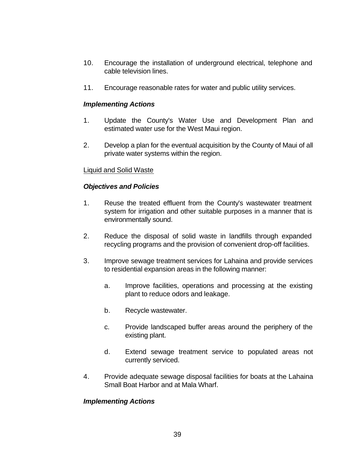- 10. Encourage the installation of underground electrical, telephone and cable television lines.
- 11. Encourage reasonable rates for water and public utility services.

- 1. Update the County's Water Use and Development Plan and estimated water use for the West Maui region.
- 2. Develop a plan for the eventual acquisition by the County of Maui of all private water systems within the region.

# Liquid and Solid Waste

## *Objectives and Policies*

- 1. Reuse the treated effluent from the County's wastewater treatment system for irrigation and other suitable purposes in a manner that is environmentally sound.
- 2. Reduce the disposal of solid waste in landfills through expanded recycling programs and the provision of convenient drop-off facilities.
- 3. Improve sewage treatment services for Lahaina and provide services to residential expansion areas in the following manner:
	- a. Improve facilities, operations and processing at the existing plant to reduce odors and leakage.
	- b. Recycle wastewater.
	- c. Provide landscaped buffer areas around the periphery of the existing plant.
	- d. Extend sewage treatment service to populated areas not currently serviced.
- 4. Provide adequate sewage disposal facilities for boats at the Lahaina Small Boat Harbor and at Mala Wharf.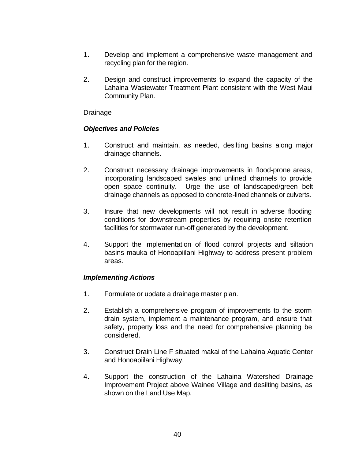- 1. Develop and implement a comprehensive waste management and recycling plan for the region.
- 2. Design and construct improvements to expand the capacity of the Lahaina Wastewater Treatment Plant consistent with the West Maui Community Plan.

## Drainage

# *Objectives and Policies*

- 1. Construct and maintain, as needed, desilting basins along major drainage channels.
- 2. Construct necessary drainage improvements in flood-prone areas, incorporating landscaped swales and unlined channels to provide open space continuity. Urge the use of landscaped/green belt drainage channels as opposed to concrete-lined channels or culverts.
- 3. Insure that new developments will not result in adverse flooding conditions for downstream properties by requiring onsite retention facilities for stormwater run-off generated by the development.
- 4. Support the implementation of flood control projects and siltation basins mauka of Honoapiilani Highway to address present problem areas.

- 1. Formulate or update a drainage master plan.
- 2. Establish a comprehensive program of improvements to the storm drain system, implement a maintenance program, and ensure that safety, property loss and the need for comprehensive planning be considered.
- 3. Construct Drain Line F situated makai of the Lahaina Aquatic Center and Honoapiilani Highway.
- 4. Support the construction of the Lahaina Watershed Drainage Improvement Project above Wainee Village and desilting basins, as shown on the Land Use Map.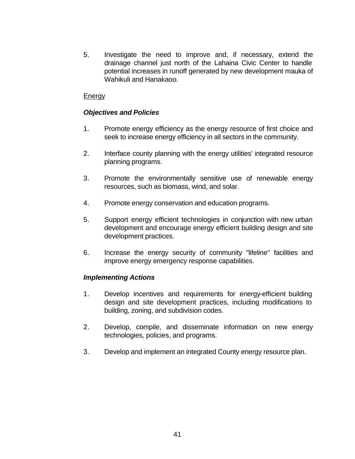5. Investigate the need to improve and, if necessary, extend the drainage channel just north of the Lahaina Civic Center to handle potential increases in runoff generated by new development mauka of Wahikuli and Hanakaoo.

# **Energy**

# *Objectives and Policies*

- 1. Promote energy efficiency as the energy resource of first choice and seek to increase energy efficiency in all sectors in the community.
- 2. Interface county planning with the energy utilities' integrated resource planning programs.
- 3. Promote the environmentally sensitive use of renewable energy resources, such as biomass, wind, and solar.
- 4. Promote energy conservation and education programs.
- 5. Support energy efficient technologies in conjunction with new urban development and encourage energy efficient building design and site development practices.
- 6. Increase the energy security of community "lifeline" facilities and improve energy emergency response capabilities.

- 1. Develop incentives and requirements for energy-efficient building design and site development practices, including modifications to building, zoning, and subdivision codes.
- 2. Develop, compile, and disseminate information on new energy technologies, policies, and programs.
- 3. Develop and implement an integrated County energy resource plan.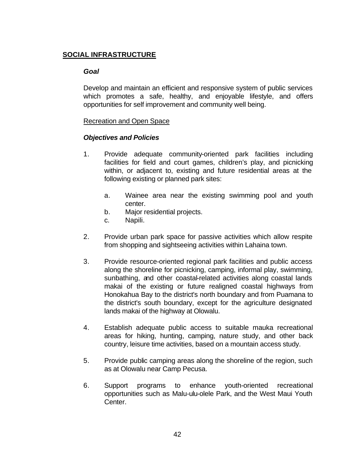# **SOCIAL INFRASTRUCTURE**

## *Goal*

Develop and maintain an efficient and responsive system of public services which promotes a safe, healthy, and enjoyable lifestyle, and offers opportunities for self improvement and community well being.

## Recreation and Open Space

- 1. Provide adequate community-oriented park facilities including facilities for field and court games, children's play, and picnicking within, or adjacent to, existing and future residential areas at the following existing or planned park sites:
	- a. Wainee area near the existing swimming pool and youth center.
	- b. Major residential projects.
	- c. Napili.
- 2. Provide urban park space for passive activities which allow respite from shopping and sightseeing activities within Lahaina town.
- 3. Provide resource-oriented regional park facilities and public access along the shoreline for picnicking, camping, informal play, swimming, sunbathing, and other coastal-related activities along coastal lands makai of the existing or future realigned coastal highways from Honokahua Bay to the district's north boundary and from Puamana to the district's south boundary, except for the agriculture designated lands makai of the highway at Olowalu.
- 4. Establish adequate public access to suitable mauka recreational areas for hiking, hunting, camping, nature study, and other back country, leisure time activities, based on a mountain access study.
- 5. Provide public camping areas along the shoreline of the region, such as at Olowalu near Camp Pecusa.
- 6. Support programs to enhance youth-oriented recreational opportunities such as Malu-ulu-olele Park, and the West Maui Youth Center.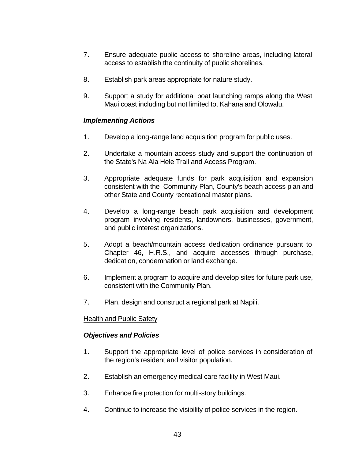- 7. Ensure adequate public access to shoreline areas, including lateral access to establish the continuity of public shorelines.
- 8. Establish park areas appropriate for nature study.
- 9. Support a study for additional boat launching ramps along the West Maui coast including but not limited to, Kahana and Olowalu.

- 1. Develop a long-range land acquisition program for public uses.
- 2. Undertake a mountain access study and support the continuation of the State's Na Ala Hele Trail and Access Program.
- 3. Appropriate adequate funds for park acquisition and expansion consistent with the Community Plan, County's beach access plan and other State and County recreational master plans.
- 4. Develop a long-range beach park acquisition and development program involving residents, landowners, businesses, government, and public interest organizations.
- 5. Adopt a beach/mountain access dedication ordinance pursuant to Chapter 46, H.R.S., and acquire accesses through purchase, dedication, condemnation or land exchange.
- 6. Implement a program to acquire and develop sites for future park use, consistent with the Community Plan.
- 7. Plan, design and construct a regional park at Napili.

## Health and Public Safety

- 1. Support the appropriate level of police services in consideration of the region's resident and visitor population.
- 2. Establish an emergency medical care facility in West Maui.
- 3. Enhance fire protection for multi-story buildings.
- 4. Continue to increase the visibility of police services in the region.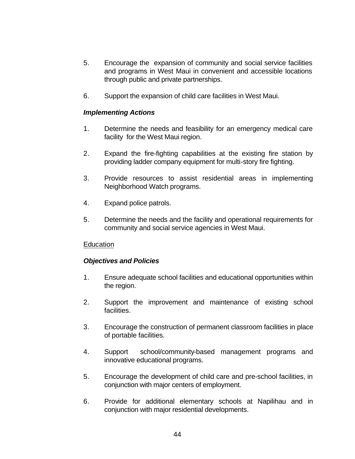- 5. Encourage the expansion of community and social service facilities and programs in West Maui in convenient and accessible locations through public and private partnerships.
- 6. Support the expansion of child care facilities in West Maui.

- 1. Determine the needs and feasibility for an emergency medical care facility for the West Maui region.
- 2. Expand the fire-fighting capabilities at the existing fire station by providing ladder company equipment for multi-story fire fighting.
- 3. Provide resources to assist residential areas in implementing Neighborhood Watch programs.
- 4. Expand police patrols.
- 5. Determine the needs and the facility and operational requirements for community and social service agencies in West Maui.

## Education

- 1. Ensure adequate school facilities and educational opportunities within the region.
- 2. Support the improvement and maintenance of existing school facilities.
- 3. Encourage the construction of permanent classroom facilities in place of portable facilities.
- 4. Support school/community-based management programs and innovative educational programs.
- 5. Encourage the development of child care and pre-school facilities, in conjunction with major centers of employment.
- 6. Provide for additional elementary schools at Napilihau and in conjunction with major residential developments.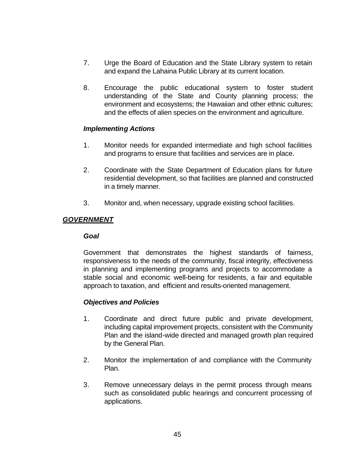- 7. Urge the Board of Education and the State Library system to retain and expand the Lahaina Public Library at its current location.
- 8. Encourage the public educational system to foster student understanding of the State and County planning process; the environment and ecosystems; the Hawaiian and other ethnic cultures; and the effects of alien species on the environment and agriculture.

- 1. Monitor needs for expanded intermediate and high school facilities and programs to ensure that facilities and services are in place.
- 2. Coordinate with the State Department of Education plans for future residential development, so that facilities are planned and constructed in a timely manner.
- 3. Monitor and, when necessary, upgrade existing school facilities.

# *GOVERNMENT*

## *Goal*

Government that demonstrates the highest standards of fairness, responsiveness to the needs of the community, fiscal integrity, effectiveness in planning and implementing programs and projects to accommodate a stable social and economic well-being for residents, a fair and equitable approach to taxation, and efficient and results-oriented management.

- 1. Coordinate and direct future public and private development, including capital improvement projects, consistent with the Community Plan and the island-wide directed and managed growth plan required by the General Plan.
- 2. Monitor the implementation of and compliance with the Community Plan.
- 3. Remove unnecessary delays in the permit process through means such as consolidated public hearings and concurrent processing of applications.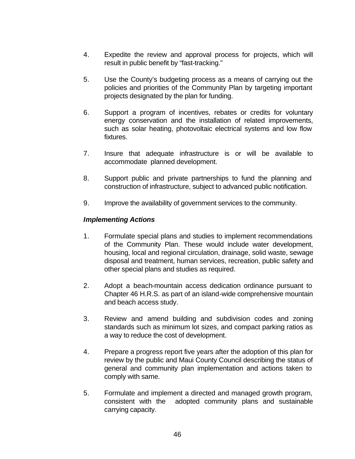- 4. Expedite the review and approval process for projects, which will result in public benefit by "fast-tracking."
- 5. Use the County's budgeting process as a means of carrying out the policies and priorities of the Community Plan by targeting important projects designated by the plan for funding.
- 6. Support a program of incentives, rebates or credits for voluntary energy conservation and the installation of related improvements, such as solar heating, photovoltaic electrical systems and low flow fixtures.
- 7. Insure that adequate infrastructure is or will be available to accommodate planned development.
- 8. Support public and private partnerships to fund the planning and construction of infrastructure, subject to advanced public notification.
- 9. Improve the availability of government services to the community.

- 1. Formulate special plans and studies to implement recommendations of the Community Plan. These would include water development, housing, local and regional circulation, drainage, solid waste, sewage disposal and treatment, human services, recreation, public safety and other special plans and studies as required.
- 2. Adopt a beach-mountain access dedication ordinance pursuant to Chapter 46 H.R.S. as part of an island-wide comprehensive mountain and beach access study.
- 3. Review and amend building and subdivision codes and zoning standards such as minimum lot sizes, and compact parking ratios as a way to reduce the cost of development.
- 4. Prepare a progress report five years after the adoption of this plan for review by the public and Maui County Council describing the status of general and community plan implementation and actions taken to comply with same.
- 5. Formulate and implement a directed and managed growth program, consistent with the adopted community plans and sustainable carrying capacity.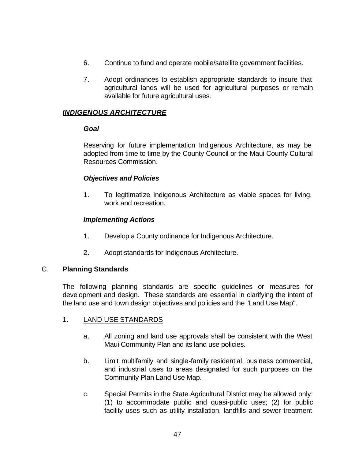- 6. Continue to fund and operate mobile/satellite government facilities.
- 7. Adopt ordinances to establish appropriate standards to insure that agricultural lands will be used for agricultural purposes or remain available for future agricultural uses.

# *INDIGENOUS ARCHITECTURE*

#### *Goal*

Reserving for future implementation Indigenous Architecture, as may be adopted from time to time by the County Council or the Maui County Cultural Resources Commission.

## *Objectives and Policies*

1. To legitimatize Indigenous Architecture as viable spaces for living, work and recreation.

# *Implementing Actions*

- 1. Develop a County ordinance for Indigenous Architecture.
- 2. Adopt standards for Indigenous Architecture.

## C. **Planning Standards**

The following planning standards are specific guidelines or measures for development and design. These standards are essential in clarifying the intent of the land use and town design objectives and policies and the "Land Use Map".

## 1. LAND USE STANDARDS

- a. All zoning and land use approvals shall be consistent with the West Maui Community Plan and its land use policies.
- b. Limit multifamily and single-family residential, business commercial, and industrial uses to areas designated for such purposes on the Community Plan Land Use Map.
- c. Special Permits in the State Agricultural District may be allowed only: (1) to accommodate public and quasi-public uses; (2) for public facility uses such as utility installation, landfills and sewer treatment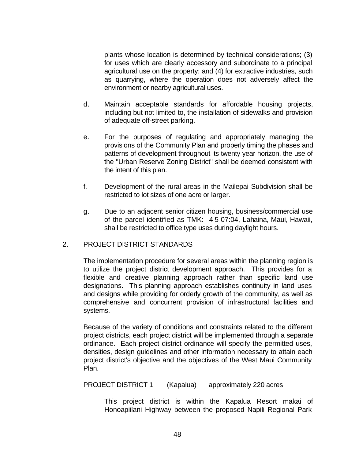plants whose location is determined by technical considerations; (3) for uses which are clearly accessory and subordinate to a principal agricultural use on the property; and (4) for extractive industries, such as quarrying, where the operation does not adversely affect the environment or nearby agricultural uses.

- d. Maintain acceptable standards for affordable housing projects, including but not limited to, the installation of sidewalks and provision of adequate off-street parking.
- e. For the purposes of regulating and appropriately managing the provisions of the Community Plan and properly timing the phases and patterns of development throughout its twenty year horizon, the use of the "Urban Reserve Zoning District" shall be deemed consistent with the intent of this plan.
- f. Development of the rural areas in the Mailepai Subdivision shall be restricted to lot sizes of one acre or larger.
- g. Due to an adjacent senior citizen housing, business/commercial use of the parcel identified as TMK: 4-5-07:04, Lahaina, Maui, Hawaii, shall be restricted to office type uses during daylight hours.

## 2. PROJECT DISTRICT STANDARDS

The implementation procedure for several areas within the planning region is to utilize the project district development approach. This provides for a flexible and creative planning approach rather than specific land use designations. This planning approach establishes continuity in land uses and designs while providing for orderly growth of the community, as well as comprehensive and concurrent provision of infrastructural facilities and systems.

Because of the variety of conditions and constraints related to the different project districts, each project district will be implemented through a separate ordinance. Each project district ordinance will specify the permitted uses, densities, design guidelines and other information necessary to attain each project district's objective and the objectives of the West Maui Community Plan.

PROJECT DISTRICT 1 (Kapalua) approximately 220 acres

This project district is within the Kapalua Resort makai of Honoapiilani Highway between the proposed Napili Regional Park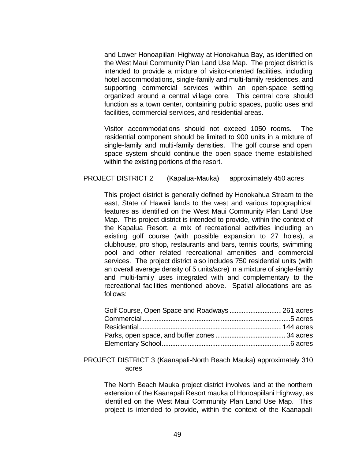and Lower Honoapiilani Highway at Honokahua Bay, as identified on the West Maui Community Plan Land Use Map. The project district is intended to provide a mixture of visitor-oriented facilities, including hotel accommodations, single-family and multi-family residences, and supporting commercial services within an open-space setting organized around a central village core. This central core should function as a town center, containing public spaces, public uses and facilities, commercial services, and residential areas.

Visitor accommodations should not exceed 1050 rooms. The residential component should be limited to 900 units in a mixture of single-family and multi-family densities. The golf course and open space system should continue the open space theme established within the existing portions of the resort.

#### PROJECT DISTRICT 2 (Kapalua-Mauka) approximately 450 acres

This project district is generally defined by Honokahua Stream to the east, State of Hawaii lands to the west and various topographical features as identified on the West Maui Community Plan Land Use Map. This project district is intended to provide, within the context of the Kapalua Resort, a mix of recreational activities including an existing golf course (with possible expansion to 27 holes), a clubhouse, pro shop, restaurants and bars, tennis courts, swimming pool and other related recreational amenities and commercial services. The project district also includes 750 residential units (with an overall average density of 5 units/acre) in a mixture of single-family and multi-family uses integrated with and complementary to the recreational facilities mentioned above. Spatial allocations are as follows:

#### PROJECT DISTRICT 3 (Kaanapali-North Beach Mauka) approximately 310 acres

The North Beach Mauka project district involves land at the northern extension of the Kaanapali Resort mauka of Honoapiilani Highway, as identified on the West Maui Community Plan Land Use Map. This project is intended to provide, within the context of the Kaanapali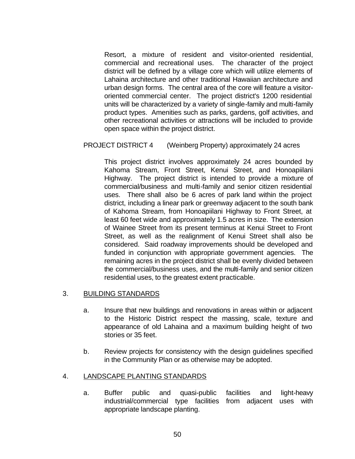Resort, a mixture of resident and visitor-oriented residential, commercial and recreational uses. The character of the project district will be defined by a village core which will utilize elements of Lahaina architecture and other traditional Hawaiian architecture and urban design forms. The central area of the core will feature a visitororiented commercial center. The project district's 1200 residential units will be characterized by a variety of single-family and multi-family product types. Amenities such as parks, gardens, golf activities, and other recreational activities or attractions will be included to provide open space within the project district.

#### PROJECT DISTRICT 4 (Weinberg Property) approximately 24 acres

This project district involves approximately 24 acres bounded by Kahoma Stream, Front Street, Kenui Street, and Honoapiilani Highway. The project district is intended to provide a mixture of commercial/business and multi-family and senior citizen residential uses. There shall also be 6 acres of park land within the project district, including a linear park or greenway adjacent to the south bank of Kahoma Stream, from Honoapiilani Highway to Front Street, at least 60 feet wide and approximately 1.5 acres in size. The extension of Wainee Street from its present terminus at Kenui Street to Front Street, as well as the realignment of Kenui Street shall also be considered. Said roadway improvements should be developed and funded in conjunction with appropriate government agencies. The remaining acres in the project district shall be evenly divided between the commercial/business uses, and the multi-family and senior citizen residential uses, to the greatest extent practicable.

## 3. BUILDING STANDARDS

- a. Insure that new buildings and renovations in areas within or adjacent to the Historic District respect the massing, scale, texture and appearance of old Lahaina and a maximum building height of two stories or 35 feet.
- b. Review projects for consistency with the design guidelines specified in the Community Plan or as otherwise may be adopted.

#### 4. LANDSCAPE PLANTING STANDARDS

a. Buffer public and quasi-public facilities and light-heavy industrial/commercial type facilities from adjacent uses with appropriate landscape planting.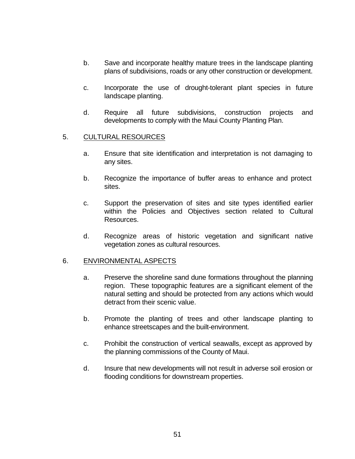- b. Save and incorporate healthy mature trees in the landscape planting plans of subdivisions, roads or any other construction or development.
- c. Incorporate the use of drought-tolerant plant species in future landscape planting.
- d. Require all future subdivisions, construction projects and developments to comply with the Maui County Planting Plan.

## 5. CULTURAL RESOURCES

- a. Ensure that site identification and interpretation is not damaging to any sites.
- b. Recognize the importance of buffer areas to enhance and protect sites.
- c. Support the preservation of sites and site types identified earlier within the Policies and Objectives section related to Cultural Resources.
- d. Recognize areas of historic vegetation and significant native vegetation zones as cultural resources.

## 6. ENVIRONMENTAL ASPECTS

- a. Preserve the shoreline sand dune formations throughout the planning region. These topographic features are a significant element of the natural setting and should be protected from any actions which would detract from their scenic value.
- b. Promote the planting of trees and other landscape planting to enhance streetscapes and the built-environment.
- c. Prohibit the construction of vertical seawalls, except as approved by the planning commissions of the County of Maui.
- d. Insure that new developments will not result in adverse soil erosion or flooding conditions for downstream properties.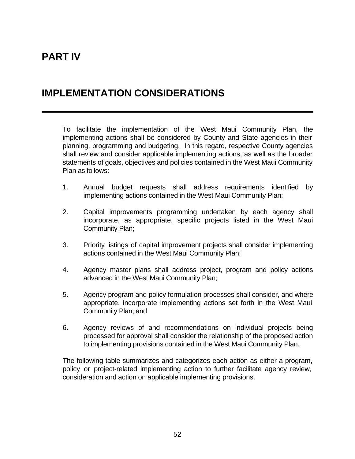# **PART IV**

# **IMPLEMENTATION CONSIDERATIONS**

To facilitate the implementation of the West Maui Community Plan, the implementing actions shall be considered by County and State agencies in their planning, programming and budgeting. In this regard, respective County agencies shall review and consider applicable implementing actions, as well as the broader statements of goals, objectives and policies contained in the West Maui Community Plan as follows:

- 1. Annual budget requests shall address requirements identified by implementing actions contained in the West Maui Community Plan;
- 2. Capital improvements programming undertaken by each agency shall incorporate, as appropriate, specific projects listed in the West Maui Community Plan;
- 3. Priority listings of capital improvement projects shall consider implementing actions contained in the West Maui Community Plan;
- 4. Agency master plans shall address project, program and policy actions advanced in the West Maui Community Plan;
- 5. Agency program and policy formulation processes shall consider, and where appropriate, incorporate implementing actions set forth in the West Maui Community Plan; and
- 6. Agency reviews of and recommendations on individual projects being processed for approval shall consider the relationship of the proposed action to implementing provisions contained in the West Maui Community Plan.

The following table summarizes and categorizes each action as either a program, policy or project-related implementing action to further facilitate agency review, consideration and action on applicable implementing provisions.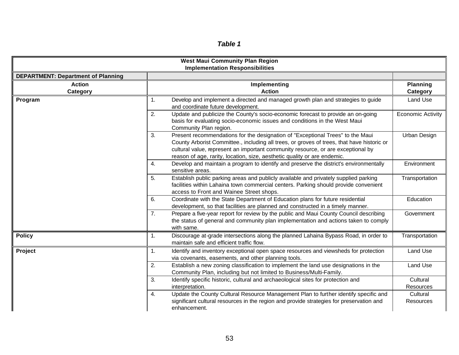# *Table 1*

|                                           | <b>West Maui Community Plan Region</b><br><b>Implementation Responsibilities</b>                                                                                                                                                                                                                                                                   |                              |  |  |  |  |
|-------------------------------------------|----------------------------------------------------------------------------------------------------------------------------------------------------------------------------------------------------------------------------------------------------------------------------------------------------------------------------------------------------|------------------------------|--|--|--|--|
| <b>DEPARTMENT: Department of Planning</b> |                                                                                                                                                                                                                                                                                                                                                    |                              |  |  |  |  |
| <b>Action</b><br>Category                 | Implementing<br><b>Action</b>                                                                                                                                                                                                                                                                                                                      |                              |  |  |  |  |
| Program                                   | Develop and implement a directed and managed growth plan and strategies to guide<br>1.<br>and coordinate future development.                                                                                                                                                                                                                       | Land Use                     |  |  |  |  |
|                                           | Update and publicize the County's socio-economic forecast to provide an on-going<br>2.<br>basis for evaluating socio-economic issues and conditions in the West Maui<br>Community Plan region.                                                                                                                                                     | <b>Economic Activity</b>     |  |  |  |  |
|                                           | 3.<br>Present recommendations for the designation of "Exceptional Trees" to the Maui<br>County Arborist Committee., including all trees, or groves of trees, that have historic or<br>cultural value, represent an important community resource, or are exceptional by<br>reason of age, rarity, location, size, aesthetic quality or are endemic. | Urban Design                 |  |  |  |  |
|                                           | Develop and maintain a program to identify and preserve the district's environmentally<br>4.<br>sensitive areas.                                                                                                                                                                                                                                   | Environment                  |  |  |  |  |
|                                           | Establish public parking areas and publicly available and privately supplied parking<br>5.<br>facilities within Lahaina town commercial centers. Parking should provide convenient<br>access to Front and Wainee Street shops.                                                                                                                     | Transportation               |  |  |  |  |
|                                           | Coordinate with the State Department of Education plans for future residential<br>6.<br>development, so that facilities are planned and constructed in a timely manner.                                                                                                                                                                            | Education                    |  |  |  |  |
|                                           | Prepare a five-year report for review by the public and Maui County Council describing<br>7.<br>the status of general and community plan implementation and actions taken to comply<br>with same.                                                                                                                                                  | Government                   |  |  |  |  |
| <b>Policy</b>                             | Discourage at-grade intersections along the planned Lahaina Bypass Road, in order to<br>1.<br>maintain safe and efficient traffic flow.                                                                                                                                                                                                            | Transportation               |  |  |  |  |
| Project                                   | Identify and inventory exceptional open space resources and viewsheds for protection<br>1.<br>via covenants, easements, and other planning tools.                                                                                                                                                                                                  | Land Use                     |  |  |  |  |
|                                           | 2.<br>Establish a new zoning classification to implement the land use designations in the<br>Community Plan, including but not limited to Business/Multi-Family.                                                                                                                                                                                   | Land Use                     |  |  |  |  |
|                                           | 3.<br>Identify specific historic, cultural and archaeological sites for protection and<br>interpretation.                                                                                                                                                                                                                                          | Cultural<br>Resources        |  |  |  |  |
|                                           | Update the County Cultural Resource Management Plan to further identify specific and<br>4.<br>significant cultural resources in the region and provide strategies for preservation and<br>enhancement.                                                                                                                                             | Cultural<br><b>Resources</b> |  |  |  |  |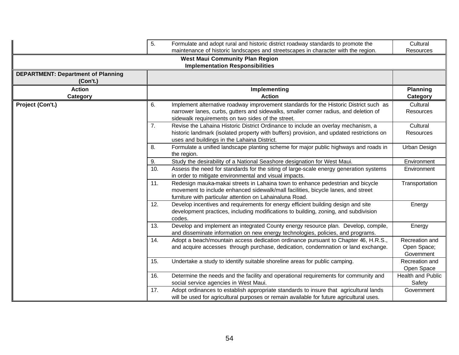|                                                       | 5.<br>Formulate and adopt rural and historic district roadway standards to promote the<br>maintenance of historic landscapes and streetscapes in character with the region. |                                                                                                                                                                                                                                    |                                             |  |  |  |  |
|-------------------------------------------------------|-----------------------------------------------------------------------------------------------------------------------------------------------------------------------------|------------------------------------------------------------------------------------------------------------------------------------------------------------------------------------------------------------------------------------|---------------------------------------------|--|--|--|--|
|                                                       |                                                                                                                                                                             | <b>West Maui Community Plan Region</b><br><b>Implementation Responsibilities</b>                                                                                                                                                   | Resources                                   |  |  |  |  |
| <b>DEPARTMENT: Department of Planning</b><br>(Con't.) |                                                                                                                                                                             |                                                                                                                                                                                                                                    |                                             |  |  |  |  |
| <b>Action</b><br><b>Category</b>                      |                                                                                                                                                                             | Implementing<br><b>Action</b>                                                                                                                                                                                                      | <b>Planning</b><br>Category                 |  |  |  |  |
| Project (Con't.)                                      | 6.                                                                                                                                                                          | Implement alternative roadway improvement standards for the Historic District such as<br>narrower lanes, curbs, gutters and sidewalks, smaller corner radius, and deletion of<br>sidewalk requirements on two sides of the street. | Cultural<br>Resources                       |  |  |  |  |
|                                                       | 7.                                                                                                                                                                          | Revise the Lahaina Historic District Ordinance to include an overlay mechanism, a<br>historic landmark (isolated property with buffers) provision, and updated restrictions on<br>uses and buildings in the Lahaina District.      | Cultural<br><b>Resources</b>                |  |  |  |  |
|                                                       | 8.                                                                                                                                                                          | Formulate a unified landscape planting scheme for major public highways and roads in<br>the region.                                                                                                                                | Urban Design                                |  |  |  |  |
|                                                       | 9.                                                                                                                                                                          | Study the desirability of a National Seashore designation for West Maui.                                                                                                                                                           | Environment                                 |  |  |  |  |
|                                                       | 10.                                                                                                                                                                         | Assess the need for standards for the siting of large-scale energy generation systems<br>in order to mitigate environmental and visual impacts.                                                                                    | Environment                                 |  |  |  |  |
|                                                       | 11.                                                                                                                                                                         | Redesign mauka-makai streets in Lahaina town to enhance pedestrian and bicycle<br>movement to include enhanced sidewalk/mall facilities, bicycle lanes, and street<br>furniture with particular attention on Lahainaluna Road.     | Transportation                              |  |  |  |  |
|                                                       | 12.                                                                                                                                                                         | Develop incentives and requirements for energy efficient building design and site<br>development practices, including modifications to building, zoning, and subdivision<br>codes.                                                 | Energy                                      |  |  |  |  |
|                                                       | 13.                                                                                                                                                                         | Develop and implement an integrated County energy resource plan. Develop, compile,<br>and disseminate information on new energy technologies, policies, and programs.                                                              | Energy                                      |  |  |  |  |
|                                                       | 14.                                                                                                                                                                         | Adopt a beach/mountain access dedication ordinance pursuant to Chapter 46, H.R.S.,<br>and acquire accesses through purchase, dedication, condemnation or land exchange.                                                            | Recreation and<br>Open Space;<br>Government |  |  |  |  |
|                                                       | 15.                                                                                                                                                                         | Undertake a study to identify suitable shoreline areas for public camping.                                                                                                                                                         | Recreation and<br>Open Space                |  |  |  |  |
|                                                       | 16.                                                                                                                                                                         | Determine the needs and the facility and operational requirements for community and<br>social service agencies in West Maui.                                                                                                       | <b>Health and Public</b><br>Safety          |  |  |  |  |
|                                                       | 17.                                                                                                                                                                         | Adopt ordinances to establish appropriate standards to insure that agricultural lands<br>will be used for agricultural purposes or remain available for future agricultural uses.                                                  | Government                                  |  |  |  |  |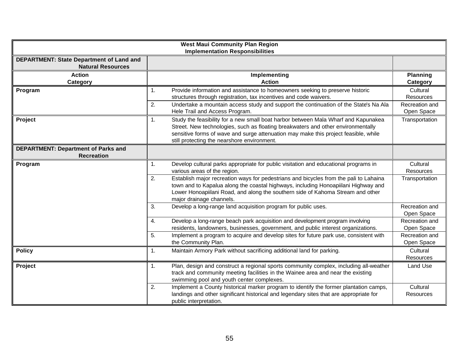|                                                                      | <b>West Maui Community Plan Region</b><br><b>Implementation Responsibilities</b>                                                                                                                                                                                                                                               |                                                       |
|----------------------------------------------------------------------|--------------------------------------------------------------------------------------------------------------------------------------------------------------------------------------------------------------------------------------------------------------------------------------------------------------------------------|-------------------------------------------------------|
| DEPARTMENT: State Department of Land and<br><b>Natural Resources</b> |                                                                                                                                                                                                                                                                                                                                |                                                       |
| <b>Action</b><br>Category                                            | Implementing<br><b>Action</b>                                                                                                                                                                                                                                                                                                  | <b>Planning</b><br>Category                           |
| Program                                                              | Provide information and assistance to homeowners seeking to preserve historic<br>$\mathbf{1}$ .<br>structures through registration, tax incentives and code waivers.<br>Undertake a mountain access study and support the continuation of the State's Na Ala<br>2.<br>Hele Trail and Access Program.                           | Cultural<br>Resources<br>Recreation and<br>Open Space |
| Project                                                              | Study the feasibility for a new small boat harbor between Mala Wharf and Kapunakea<br>$\mathbf{1}$ .<br>Street. New technologies, such as floating breakwaters and other environmentally<br>sensitive forms of wave and surge attenuation may make this project feasible, while<br>still protecting the nearshore environment. | Transportation                                        |
| <b>DEPARTMENT: Department of Parks and</b><br><b>Recreation</b>      |                                                                                                                                                                                                                                                                                                                                |                                                       |
| Program                                                              | Develop cultural parks appropriate for public visitation and educational programs in<br>$\mathbf{1}$ .<br>various areas of the region.                                                                                                                                                                                         | Cultural<br><b>Resources</b>                          |
|                                                                      | Establish major recreation ways for pedestrians and bicycles from the pali to Lahaina<br>2.<br>town and to Kapalua along the coastal highways, including Honoapiilani Highway and<br>Lower Honoapiilani Road, and along the southern side of Kahoma Stream and other<br>major drainage channels.                               | Transportation                                        |
|                                                                      | Develop a long-range land acquisition program for public uses.<br>3.                                                                                                                                                                                                                                                           | Recreation and<br>Open Space                          |
|                                                                      | Develop a long-range beach park acquisition and development program involving<br>4.<br>residents, landowners, businesses, government, and public interest organizations.                                                                                                                                                       | Recreation and<br>Open Space                          |
|                                                                      | 5.<br>Implement a program to acquire and develop sites for future park use, consistent with<br>the Community Plan.                                                                                                                                                                                                             | Recreation and<br>Open Space                          |
| <b>Policy</b>                                                        | Maintain Armory Park without sacrificing additional land for parking.<br>$\mathbf{1}$ .                                                                                                                                                                                                                                        | Cultural<br>Resources                                 |
| Project                                                              | Plan, design and construct a regional sports community complex, including all-weather<br>$\mathbf{1}$ .<br>track and community meeting facilities in the Wainee area and near the existing<br>swimming pool and youth center complexes.                                                                                        | Land Use                                              |
|                                                                      | Implement a County historical marker program to identify the former plantation camps,<br>2.<br>landings and other significant historical and legendary sites that are appropriate for<br>public interpretation.                                                                                                                | Cultural<br><b>Resources</b>                          |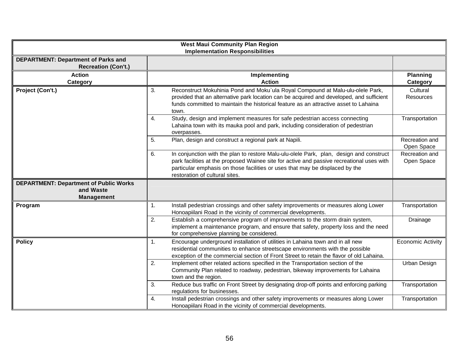| <b>West Maui Community Plan Region</b><br><b>Implementation Responsibilities</b> |                                                                                                                                                                                                                                                                                                              |                              |  |  |  |  |  |
|----------------------------------------------------------------------------------|--------------------------------------------------------------------------------------------------------------------------------------------------------------------------------------------------------------------------------------------------------------------------------------------------------------|------------------------------|--|--|--|--|--|
| <b>DEPARTMENT: Department of Parks and</b><br><b>Recreation (Con't.)</b>         |                                                                                                                                                                                                                                                                                                              |                              |  |  |  |  |  |
| <b>Action</b><br>Category                                                        | Implementing<br><b>Action</b>                                                                                                                                                                                                                                                                                | <b>Planning</b><br>Category  |  |  |  |  |  |
| Project (Con't.)                                                                 | Reconstruct Mokuhinia Pond and Moku`ula Royal Compound at Malu-ulu-olele Park,<br>3.<br>provided that an alternative park location can be acquired and developed, and sufficient<br>funds committed to maintain the historical feature as an attractive asset to Lahaina<br>town.                            | Cultural<br><b>Resources</b> |  |  |  |  |  |
|                                                                                  | Study, design and implement measures for safe pedestrian access connecting<br>4.<br>Lahaina town with its mauka pool and park, including consideration of pedestrian<br>overpasses.                                                                                                                          | Transportation               |  |  |  |  |  |
|                                                                                  | Plan, design and construct a regional park at Napili.<br>5.                                                                                                                                                                                                                                                  | Recreation and<br>Open Space |  |  |  |  |  |
|                                                                                  | In conjunction with the plan to restore Malu-ulu-olele Park, plan, design and construct<br>6.<br>park facilities at the proposed Wainee site for active and passive recreational uses with<br>particular emphasis on those facilities or uses that may be displaced by the<br>restoration of cultural sites. |                              |  |  |  |  |  |
| <b>DEPARTMENT: Department of Public Works</b><br>and Waste<br><b>Management</b>  |                                                                                                                                                                                                                                                                                                              |                              |  |  |  |  |  |
| Program                                                                          | Install pedestrian crossings and other safety improvements or measures along Lower<br>1.<br>Honoapiilani Road in the vicinity of commercial developments.                                                                                                                                                    | Transportation               |  |  |  |  |  |
|                                                                                  | Establish a comprehensive program of improvements to the storm drain system,<br>2.<br>implement a maintenance program, and ensure that safety, property loss and the need<br>for comprehensive planning be considered.                                                                                       | Drainage                     |  |  |  |  |  |
| <b>Policy</b>                                                                    | Encourage underground installation of utilities in Lahaina town and in all new<br>1.<br>residential communities to enhance streetscape environments with the possible<br>exception of the commercial section of Front Street to retain the flavor of old Lahaina.                                            | <b>Economic Activity</b>     |  |  |  |  |  |
|                                                                                  | Implement other related actions specified in the Transportation section of the<br>2.<br>Community Plan related to roadway, pedestrian, bikeway improvements for Lahaina<br>town and the region.                                                                                                              | Urban Design                 |  |  |  |  |  |
|                                                                                  | Reduce bus traffic on Front Street by designating drop-off points and enforcing parking<br>3.<br>regulations for businesses.                                                                                                                                                                                 | Transportation               |  |  |  |  |  |
|                                                                                  | Install pedestrian crossings and other safety improvements or measures along Lower<br>4.<br>Honoapiilani Road in the vicinity of commercial developments.                                                                                                                                                    | Transportation               |  |  |  |  |  |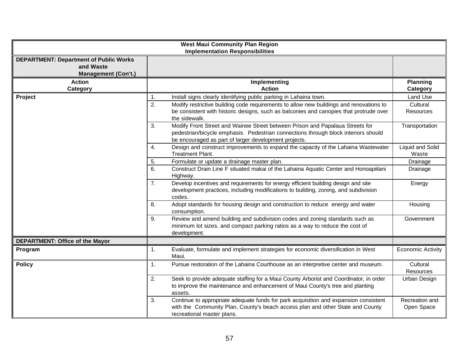|                                                                                          | <b>West Maui Community Plan Region</b><br><b>Implementation Responsibilities</b>                                                                                                                                                   |                              |
|------------------------------------------------------------------------------------------|------------------------------------------------------------------------------------------------------------------------------------------------------------------------------------------------------------------------------------|------------------------------|
| <b>DEPARTMENT: Department of Public Works</b><br>and Waste<br><b>Management (Con't.)</b> |                                                                                                                                                                                                                                    |                              |
| <b>Action</b>                                                                            | Implementing                                                                                                                                                                                                                       | <b>Planning</b>              |
| Category<br>Project                                                                      | <b>Action</b><br>Install signs clearly identifying public parking in Lahaina town.<br>1.                                                                                                                                           | Category<br>Land Use         |
|                                                                                          | 2.<br>Modify restrictive building code requirements to allow new buildings and renovations to<br>be consistent with historic designs, such as balconies and canopies that protrude over<br>the sidewalk.                           | Cultural<br>Resources        |
|                                                                                          | Modify Front Street and Wainee Street between Prison and Papalaua Streets for<br>3.<br>pedestrian/bicycle emphasis. Pedestrian connections through block interiors should<br>be encouraged as part of larger development projects. | Transportation               |
|                                                                                          | Design and construct improvements to expand the capacity of the Lahaina Wastewater<br>4.<br>Treatment Plant.                                                                                                                       | Liquid and Solid<br>Waste    |
|                                                                                          | Formulate or update a drainage master plan.<br>5.                                                                                                                                                                                  | Drainage                     |
|                                                                                          | Construct Drain Line F situated makai of the Lahaina Aquatic Center and Honoapiilani<br>6.<br>Highway.                                                                                                                             | Drainage                     |
|                                                                                          | Develop incentives and requirements for energy efficient building design and site<br>7.<br>development practices, including modifications to building, zoning, and subdivision<br>codes.                                           | Energy                       |
|                                                                                          | Adopt standards for housing design and construction to reduce energy and water<br>8.<br>consumption.                                                                                                                               | Housing                      |
|                                                                                          | Review and amend building and subdivision codes and zoning standards such as<br>9.<br>minimum lot sizes, and compact parking ratios as a way to reduce the cost of<br>development.                                                 | Government                   |
| <b>DEPARTMENT: Office of the Mayor</b>                                                   |                                                                                                                                                                                                                                    |                              |
| Program                                                                                  | Evaluate, formulate and implement strategies for economic diversification in West<br>1.<br>Maui.                                                                                                                                   | <b>Economic Activity</b>     |
| <b>Policy</b>                                                                            | Pursue restoration of the Lahaina Courthouse as an interpretive center and museum.<br>$\mathbf{1}$ .                                                                                                                               | Cultural<br>Resources        |
|                                                                                          | Seek to provide adequate staffing for a Maui County Arborist and Coordinator, in order<br>2.<br>to improve the maintenance and enhancement of Maui County's tree and planting<br>assets.                                           | Urban Design                 |
|                                                                                          | Continue to appropriate adequate funds for park acquisition and expansion consistent<br>3.<br>with the Community Plan, County's beach access plan and other State and County<br>recreational master plans.                         | Recreation and<br>Open Space |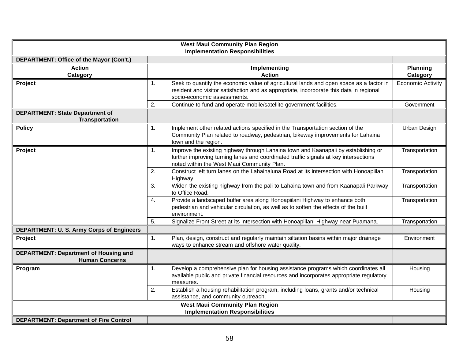|                                                                       | <b>West Maui Community Plan Region</b><br><b>Implementation Responsibilities</b>                                                                                                                                               |                             |
|-----------------------------------------------------------------------|--------------------------------------------------------------------------------------------------------------------------------------------------------------------------------------------------------------------------------|-----------------------------|
| DEPARTMENT: Office of the Mayor (Con't.)                              |                                                                                                                                                                                                                                |                             |
| <b>Action</b><br>Category                                             | Implementing<br><b>Action</b>                                                                                                                                                                                                  | <b>Planning</b><br>Category |
| Project                                                               | Seek to quantify the economic value of agricultural lands and open space as a factor in<br>1.<br>resident and visitor satisfaction and as appropriate, incorporate this data in regional<br>socio-economic assessments.        | <b>Economic Activity</b>    |
|                                                                       | 2.<br>Continue to fund and operate mobile/satellite government facilities.                                                                                                                                                     | Government                  |
| <b>DEPARTMENT: State Department of</b><br><b>Transportation</b>       |                                                                                                                                                                                                                                |                             |
| <b>Policy</b>                                                         | Implement other related actions specified in the Transportation section of the<br>1.<br>Community Plan related to roadway, pedestrian, bikeway improvements for Lahaina<br>town and the region.                                | Urban Design                |
| Project                                                               | Improve the existing highway through Lahaina town and Kaanapali by establishing or<br>1.<br>further improving turning lanes and coordinated traffic signals at key intersections<br>noted within the West Maui Community Plan. | Transportation              |
|                                                                       | Construct left turn lanes on the Lahainaluna Road at its intersection with Honoapiilani<br>2.<br>Highway.                                                                                                                      | Transportation              |
|                                                                       | Widen the existing highway from the pali to Lahaina town and from Kaanapali Parkway<br>3.<br>to Office Road.                                                                                                                   | Transportation              |
|                                                                       | Provide a landscaped buffer area along Honoapiilani Highway to enhance both<br>4.<br>pedestrian and vehicular circulation, as well as to soften the effects of the built<br>environment.                                       | Transportation              |
|                                                                       | 5.<br>Signalize Front Street at its intersection with Honoapiilani Highway near Puamana.                                                                                                                                       | Transportation              |
| DEPARTMENT: U. S. Army Corps of Engineers                             |                                                                                                                                                                                                                                |                             |
| Project                                                               | Plan, design, construct and regularly maintain siltation basins within major drainage<br>1.<br>ways to enhance stream and offshore water quality.                                                                              | Environment                 |
| <b>DEPARTMENT: Department of Housing and</b><br><b>Human Concerns</b> |                                                                                                                                                                                                                                |                             |
| Program                                                               | Develop a comprehensive plan for housing assistance programs which coordinates all<br>1.<br>available public and private financial resources and incorporates appropriate regulatory<br>measures.                              | Housing                     |
|                                                                       | Establish a housing rehabilitation program, including loans, grants and/or technical<br>2.<br>assistance, and community outreach.                                                                                              | Housing                     |
|                                                                       | <b>West Maui Community Plan Region</b><br><b>Implementation Responsibilities</b>                                                                                                                                               |                             |
| <b>DEPARTMENT: Department of Fire Control</b>                         |                                                                                                                                                                                                                                |                             |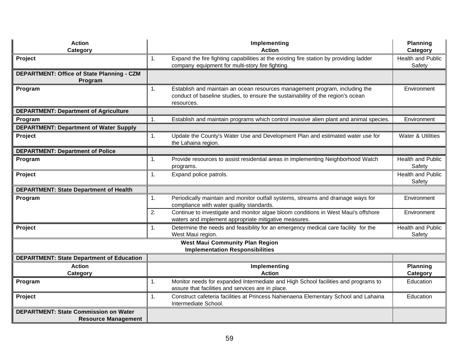| <b>Action</b><br>Category                                                  | Implementing<br><b>Action</b>                                                                                                                                                      | <b>Planning</b><br>Category        |
|----------------------------------------------------------------------------|------------------------------------------------------------------------------------------------------------------------------------------------------------------------------------|------------------------------------|
| Project                                                                    | 1.<br>Expand the fire fighting capabilities at the existing fire station by providing ladder<br>company equipment for multi-story fire fighting.                                   | <b>Health and Public</b><br>Safety |
| DEPARTMENT: Office of State Planning - CZM<br>Program                      |                                                                                                                                                                                    |                                    |
| Program                                                                    | 1.<br>Establish and maintain an ocean resources management program, including the<br>conduct of baseline studies, to ensure the sustainability of the region's ocean<br>resources. | Environment                        |
| <b>DEPARTMENT: Department of Agriculture</b>                               |                                                                                                                                                                                    |                                    |
| Program                                                                    | $\mathbf{1}$<br>Establish and maintain programs which control invasive alien plant and animal species.                                                                             | Environment                        |
| <b>DEPARTMENT: Department of Water Supply</b>                              |                                                                                                                                                                                    |                                    |
| Project                                                                    | Update the County's Water Use and Development Plan and estimated water use for<br>1.<br>the Lahaina region.                                                                        | Water & Utilities                  |
| <b>DEPARTMENT: Department of Police</b>                                    |                                                                                                                                                                                    |                                    |
| Program                                                                    | Provide resources to assist residential areas in implementing Neighborhood Watch<br>1.<br>programs.                                                                                | <b>Health and Public</b><br>Safety |
| Project                                                                    | Expand police patrols.<br>1.                                                                                                                                                       | <b>Health and Public</b><br>Safety |
| <b>DEPARTMENT: State Department of Health</b>                              |                                                                                                                                                                                    |                                    |
| Program                                                                    | Periodically maintain and monitor outfall systems, streams and drainage ways for<br>1.<br>compliance with water quality standards.                                                 | Environment                        |
|                                                                            | Continue to investigate and monitor algae bloom conditions in West Maui's offshore<br>2.<br>waters and implement appropriate mitigative measures.                                  | Environment                        |
| Project                                                                    | Determine the needs and feasibility for an emergency medical care facility for the<br>1.<br>West Maui region.                                                                      | Health and Public<br>Safety        |
|                                                                            | <b>West Maui Community Plan Region</b><br><b>Implementation Responsibilities</b>                                                                                                   |                                    |
| <b>DEPARTMENT: State Department of Education</b>                           |                                                                                                                                                                                    |                                    |
| <b>Action</b>                                                              | Implementing                                                                                                                                                                       | <b>Planning</b>                    |
| Category                                                                   | <b>Action</b>                                                                                                                                                                      | Category                           |
| Program                                                                    | Monitor needs for expanded Intermediate and High School facilities and programs to<br>1.<br>assure that facilities and services are in place.                                      | Education                          |
| Project                                                                    | Construct cafeteria facilities at Princess Nahienaena Elementary School and Lahaina<br>1.<br>Intermediate School.                                                                  | Education                          |
| <b>DEPARTMENT: State Commission on Water</b><br><b>Resource Management</b> |                                                                                                                                                                                    |                                    |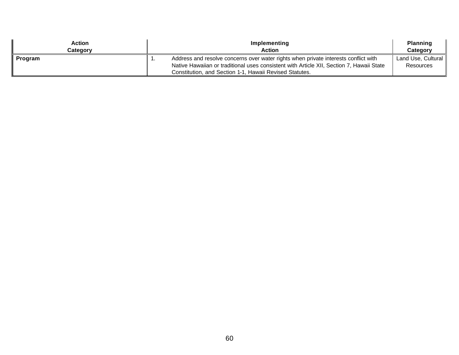| Action<br>Category | Implementing<br><b>Action</b>                                                                                                                                                   | <b>Planning</b><br>Category            |
|--------------------|---------------------------------------------------------------------------------------------------------------------------------------------------------------------------------|----------------------------------------|
| Program            | Address and resolve concerns over water rights when private interests conflict with<br>Native Hawaiian or traditional uses consistent with Article XII, Section 7, Hawaii State | Land Use, Cultural<br><b>Resources</b> |
|                    | Constitution, and Section 1-1, Hawaii Revised Statutes.                                                                                                                         |                                        |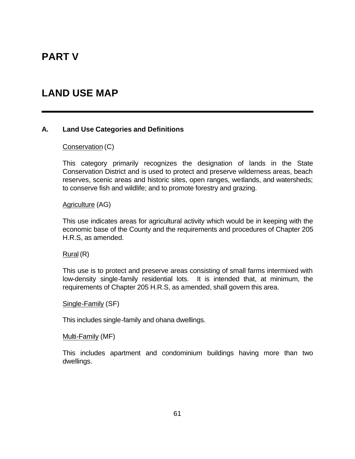# **PART V**

# **LAND USE MAP**

#### **A. Land Use Categories and Definitions**

#### Conservation (C)

This category primarily recognizes the designation of lands in the State Conservation District and is used to protect and preserve wilderness areas, beach reserves, scenic areas and historic sites, open ranges, wetlands, and watersheds; to conserve fish and wildlife; and to promote forestry and grazing.

#### Agriculture (AG)

This use indicates areas for agricultural activity which would be in keeping with the economic base of the County and the requirements and procedures of Chapter 205 H.R.S, as amended.

#### Rural (R)

This use is to protect and preserve areas consisting of small farms intermixed with low-density single-family residential lots. It is intended that, at minimum, the requirements of Chapter 205 H.R.S, as amended, shall govern this area.

Single-Family (SF)

This includes single-family and ohana dwellings.

Multi-Family (MF)

This includes apartment and condominium buildings having more than two dwellings.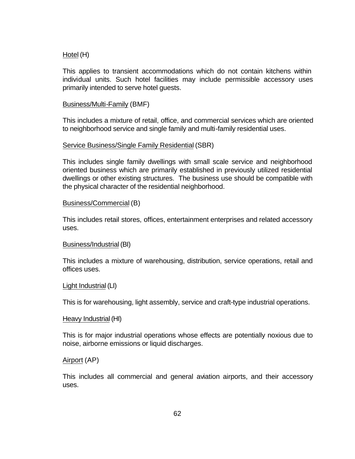#### Hotel (H)

This applies to transient accommodations which do not contain kitchens within individual units. Such hotel facilities may include permissible accessory uses primarily intended to serve hotel guests.

#### Business/Multi-Family (BMF)

This includes a mixture of retail, office, and commercial services which are oriented to neighborhood service and single family and multi-family residential uses.

#### Service Business/Single Family Residential (SBR)

This includes single family dwellings with small scale service and neighborhood oriented business which are primarily established in previously utilized residential dwellings or other existing structures. The business use should be compatible with the physical character of the residential neighborhood.

#### Business/Commercial (B)

This includes retail stores, offices, entertainment enterprises and related accessory uses.

#### Business/Industrial (BI)

This includes a mixture of warehousing, distribution, service operations, retail and offices uses.

#### Light Industrial (LI)

This is for warehousing, light assembly, service and craft-type industrial operations.

#### Heavy Industrial (HI)

This is for major industrial operations whose effects are potentially noxious due to noise, airborne emissions or liquid discharges.

#### Airport (AP)

This includes all commercial and general aviation airports, and their accessory uses.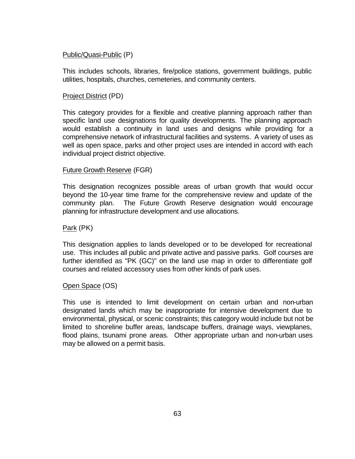## Public/Quasi-Public (P)

This includes schools, libraries, fire/police stations, government buildings, public utilities, hospitals, churches, cemeteries, and community centers.

#### Project District (PD)

This category provides for a flexible and creative planning approach rather than specific land use designations for quality developments. The planning approach would establish a continuity in land uses and designs while providing for a comprehensive network of infrastructural facilities and systems. A variety of uses as well as open space, parks and other project uses are intended in accord with each individual project district objective.

#### Future Growth Reserve (FGR)

This designation recognizes possible areas of urban growth that would occur beyond the 10-year time frame for the comprehensive review and update of the community plan. The Future Growth Reserve designation would encourage planning for infrastructure development and use allocations.

Park (PK)

This designation applies to lands developed or to be developed for recreational use. This includes all public and private active and passive parks. Golf courses are further identified as "PK (GC)" on the land use map in order to differentiate golf courses and related accessory uses from other kinds of park uses.

## Open Space (OS)

This use is intended to limit development on certain urban and non-urban designated lands which may be inappropriate for intensive development due to environmental, physical, or scenic constraints; this category would include but not be limited to shoreline buffer areas, landscape buffers, drainage ways, viewplanes, flood plains, tsunami prone areas. Other appropriate urban and non-urban uses may be allowed on a permit basis.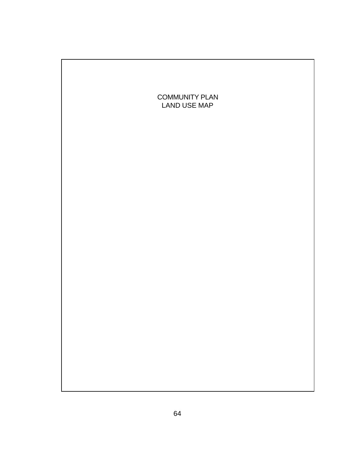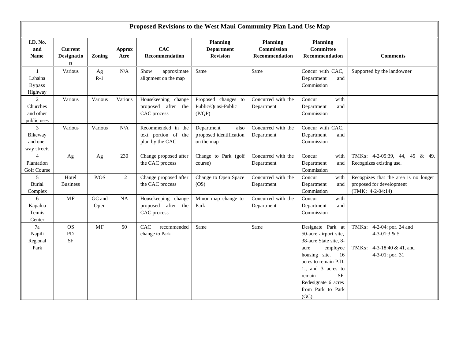|                                                        | Proposed Revisions to the West Maui Community Plan Land Use Map |                |                       |                                                              |                                                             |                                                 |                                                                                                                                                                                                                                        |                                                                                           |
|--------------------------------------------------------|-----------------------------------------------------------------|----------------|-----------------------|--------------------------------------------------------------|-------------------------------------------------------------|-------------------------------------------------|----------------------------------------------------------------------------------------------------------------------------------------------------------------------------------------------------------------------------------------|-------------------------------------------------------------------------------------------|
| I.D. No.<br>and<br><b>Name</b>                         | <b>Current</b><br>Designatio<br>n                               | Zoning         | <b>Approx</b><br>Acre | CAC<br>Recommendation                                        | <b>Planning</b><br><b>Department</b><br><b>Revision</b>     | <b>Planning</b><br>Commission<br>Recommendation | <b>Planning</b><br>Committee<br>Recommendation                                                                                                                                                                                         | <b>Comments</b>                                                                           |
| $\mathbf{1}$<br>Lahaina<br><b>Bypass</b><br>Highway    | Various                                                         | Ag<br>$R-1$    | $\rm N/A$             | Show<br>approximate<br>alignment on the map                  | Same                                                        | Same                                            | Concur with CAC,<br>Department<br>and<br>Commission                                                                                                                                                                                    | Supported by the landowner                                                                |
| $\overline{2}$<br>Churches<br>and other<br>public uses | Various                                                         | Various        | Various               | Housekeeping change<br>proposed after the<br>CAC process     | Proposed changes to<br>Public/Quasi-Public<br>(P/QP)        | Concurred with the<br>Department                | Concur<br>with<br>Department<br>and<br>Commission                                                                                                                                                                                      |                                                                                           |
| 3<br>Bikeway<br>and one-<br>way streets                | Various                                                         | Various        | $\rm N/A$             | Recommended in the<br>text portion of the<br>plan by the CAC | Department<br>also<br>proposed identification<br>on the map | Concurred with the<br>Department                | Concur with CAC,<br>Department<br>and<br>Commission                                                                                                                                                                                    |                                                                                           |
| $\overline{4}$<br>Plantation<br>Golf Course            | Ag                                                              | Ag             | 230                   | Change proposed after<br>the CAC process                     | Change to Park (golf<br>course)                             | Concurred with the<br>Department                | Concur<br>with<br>Department<br>and<br>Commission                                                                                                                                                                                      | TMKs: 4-2-05:39, 44, 45 & 49.<br>Recognizes existing use.                                 |
| 5<br><b>Burial</b><br>Complex                          | Hotel<br><b>Business</b>                                        | P/OS           | 12                    | Change proposed after<br>the CAC process                     | Change to Open Space<br>OS)                                 | Concurred with the<br>Department                | Concur<br>with<br>Department<br>and<br>Commission                                                                                                                                                                                      | Recognizes that the area is no longer<br>proposed for development<br>$(TMK: 4-2-04:14)$   |
| 6<br>Kapalua<br>Tennis<br>Center                       | MF                                                              | GC and<br>Open | NA                    | Housekeeping change<br>proposed after the<br>CAC process     | Minor map change to<br>Park                                 | Concurred with the<br>Department                | Concur<br>with<br>Department<br>and<br>Commission                                                                                                                                                                                      |                                                                                           |
| 7a<br>Napili<br>Regional<br>Park                       | <b>OS</b><br>PD<br>$\rm SF$                                     | MF             | 50                    | <b>CAC</b><br>recommended<br>change to Park                  | Same                                                        | Same                                            | Designate Park at<br>50-acre airport site,<br>38-acre State site, 8-<br>employee<br>acre<br>housing site.<br>16<br>acres to remain P.D.<br>1., and 3 acres to<br>SF.<br>remain<br>Redesignate 6 acres<br>from Park to Park<br>$(GC)$ . | TMKs: 4-2-04: por. 24 and<br>4-3-01:3 & 5<br>TMKs: 4-3-18:40 & 41, and<br>4-3-01: por. 31 |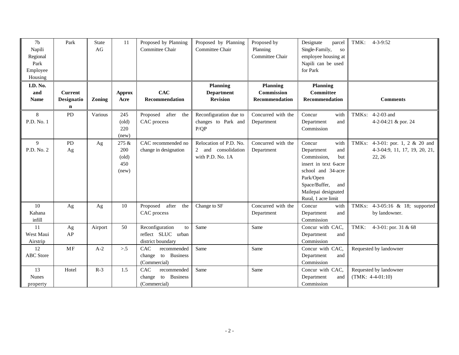| 7 <sub>b</sub><br>Napili<br>Regional<br>Park<br>Employee<br>Housing | Park                                        | <b>State</b><br>AG | 11                                                     | Proposed by Planning<br>Committee Chair                               | Proposed by Planning<br>Committee Chair                           | Proposed by<br>Planning<br>Committee Chair             | Designate<br>parcel<br>Single-Family,<br><b>SO</b><br>employee housing at<br>Napili can be used<br>for Park                                                                                 | TMK:<br>$4 - 3 - 9:52$                                                      |
|---------------------------------------------------------------------|---------------------------------------------|--------------------|--------------------------------------------------------|-----------------------------------------------------------------------|-------------------------------------------------------------------|--------------------------------------------------------|---------------------------------------------------------------------------------------------------------------------------------------------------------------------------------------------|-----------------------------------------------------------------------------|
| I.D. No.<br>and<br><b>Name</b>                                      | <b>Current</b><br>Designatio<br>$\mathbf n$ | Zoning             | <b>Approx</b><br>Acre                                  | <b>CAC</b><br>Recommendation                                          | <b>Planning</b><br><b>Department</b><br><b>Revision</b>           | <b>Planning</b><br><b>Commission</b><br>Recommendation | <b>Planning</b><br>Committee<br>Recommendation                                                                                                                                              | <b>Comments</b>                                                             |
| 8<br>P.D. No. 1                                                     | PD                                          | Various            | 245<br>$\text{(old)}$<br>220<br>(new)                  | Proposed after<br>the<br>CAC process                                  | Reconfiguration due to<br>changes to Park and<br>P/QP             | Concurred with the<br>Department                       | Concur<br>with<br>Department<br>and<br>Commission                                                                                                                                           | TMKs: 4-2-03 and<br>4-2-04:21 & por. 24                                     |
| $\mathbf{Q}$<br>P.D. No. 2                                          | PD<br>Ag                                    | Ag                 | 275 &<br>200<br>$\left($ old $\right)$<br>450<br>(new) | CAC recommended no<br>change in designation                           | Relocation of P.D. No.<br>2 and consolidation<br>with P.D. No. 1A | Concurred with the<br>Department                       | Concur<br>with<br>Department<br>and<br>Commission,<br>but<br>insert in text 6-acre<br>school and 34-acre<br>Park/Open<br>Space/Buffer,<br>and<br>Mailepai designated<br>Rural, 1 acre limit | TMKs: 4-3-01: por. 1, 2 & 20 and<br>4-3-04:9, 11, 17, 19, 20, 21,<br>22, 26 |
| 10<br>Kahana<br>infill                                              | Ag                                          | Ag                 | 10                                                     | after<br>Proposed<br>the<br>CAC process                               | Change to SF                                                      | Concurred with the<br>Department                       | Concur<br>with<br>Department<br>and<br>Commission                                                                                                                                           | TMKs: 4-3-05:16 & 18; supported<br>by landowner.                            |
| 11<br>West Maui<br>Airstrip                                         | Ag<br>AP                                    | Airport            | 50                                                     | Reconfiguration<br>to<br>reflect SLUC urban<br>district boundary      | Same                                                              | Same                                                   | Concur with CAC,<br>Department<br>and<br>Commission                                                                                                                                         | TMK:<br>4-3-01: por. 31 & 68                                                |
| 12<br><b>ABC</b> Store                                              | MF                                          | $A-2$              | > 5                                                    | CAC<br>recommended<br>change to Business<br>(Commercial)              | Same                                                              | Same                                                   | Concur with CAC,<br>Department<br>and<br>Commission                                                                                                                                         | Requested by landowner                                                      |
| 13<br><b>Nunes</b><br>property                                      | Hotel                                       | $R-3$              | 1.5                                                    | CAC<br>recommended<br><b>Business</b><br>to<br>change<br>(Commercial) | Same                                                              | Same                                                   | Concur with CAC,<br>Department<br>and<br>Commission                                                                                                                                         | Requested by landowner<br>$(TMK: 4-4-01:10)$                                |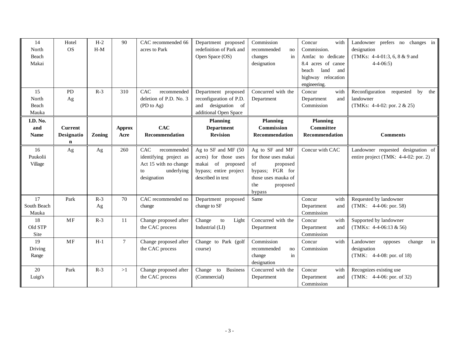| 14<br>North<br>Beach<br>Makai  | Hotel<br><b>OS</b>                | $H-2$<br>$H-M$ | 90                    | CAC recommended 66<br>acres to Park                                                                      | Department proposed<br>redefinition of Park and<br>Open Space (OS)                                               | Commission<br>recommended<br>no<br>in<br>changes<br>designation                                                                  | Concur<br>with<br>Commission.<br>Amfac to dedicate<br>8.4 acres of canoe<br>beach<br>land<br>and<br>highway relocation<br>engineering. | Landowner prefers no changes in<br>designation<br>(TMKs: 4-4-01:3, 6, 8 & 9 and<br>$4 - 4 - 06:5$ |
|--------------------------------|-----------------------------------|----------------|-----------------------|----------------------------------------------------------------------------------------------------------|------------------------------------------------------------------------------------------------------------------|----------------------------------------------------------------------------------------------------------------------------------|----------------------------------------------------------------------------------------------------------------------------------------|---------------------------------------------------------------------------------------------------|
| 15<br>North<br>Beach<br>Mauka  | PD<br>Ag                          | $R-3$          | 310                   | CAC<br>recommended<br>deletion of P.D. No. 3<br>(PD to Ag)                                               | Department proposed<br>reconfiguration of P.D.<br>designation<br><sub>of</sub><br>and<br>additional Open Space   | Concurred with the<br>Department                                                                                                 | Concur<br>with<br>Department<br>and<br>Commission                                                                                      | Reconfiguration requested<br>by<br>the<br>landowner<br>(TMKs: $4-4-02$ : por. $2 & 25$ )          |
| I.D. No.<br>and<br><b>Name</b> | <b>Current</b><br>Designatio<br>n | Zoning         | <b>Approx</b><br>Acre | <b>CAC</b><br>Recommendation                                                                             | <b>Planning</b><br><b>Department</b><br><b>Revision</b>                                                          | <b>Planning</b><br>Commission<br>Recommendation                                                                                  | <b>Planning</b><br>Committee<br>Recommendation                                                                                         | <b>Comments</b>                                                                                   |
| 16<br>Puukolii<br>Village      | Ag                                | Ag             | 260                   | CAC<br>recommended<br>identifying project as<br>Act 15 with no change<br>underlying<br>to<br>designation | Ag to SF and MF (50<br>acres) for those uses<br>makai of proposed<br>bypass; entire project<br>described in text | Ag to SF and MF<br>for those uses makai<br>of<br>proposed<br>bypass; FGR for<br>those uses mauka of<br>the<br>proposed<br>bypass | Concur with CAC                                                                                                                        | Landowner requested designation of<br>entire project (TMK: 4-4-02: por. 2)                        |
| 17<br>South Beach<br>Mauka     | Park                              | $R-3$<br>Ag    | 70                    | CAC recommended no<br>change                                                                             | Department proposed<br>change to SF                                                                              | Same                                                                                                                             | Concur<br>with<br>Department<br>and<br>Commission                                                                                      | Requested by landowner<br>$(TMK: 4-4-06: por. 58)$                                                |
| 18<br>Old STP<br>Site          | MF                                | $R-3$          | 11                    | Change proposed after<br>the CAC process                                                                 | Change<br>${\rm to}$<br>Light<br>Industrial (LI)                                                                 | Concurred with the<br>Department                                                                                                 | Concur<br>with<br>Department<br>and<br>Commission                                                                                      | Supported by landowner<br>(TMKs: $4-4-06:13 \& 56$ )                                              |
| 19<br>Driving<br>Range         | MF                                | $H-1$          | $7\phantom{.0}$       | Change proposed after<br>the CAC process                                                                 | Change to Park (golf<br>course)                                                                                  | Commission<br>recommended<br>no<br>change<br>in<br>designation                                                                   | Concur<br>with<br>Commission                                                                                                           | Landowner<br>change<br>in<br>opposes<br>designation<br>(TMK: 4-4-08: por. of 18)                  |
| 20<br>Luigi's                  | Park                              | $R-3$          | >1                    | Change proposed after<br>the CAC process                                                                 | <b>Business</b><br>Change to<br>(Commercial)                                                                     | Concurred with the<br>Department                                                                                                 | Concur<br>with<br>Department<br>and<br>Commission                                                                                      | Recognizes existing use<br>(TMK: 4-4-06: por. of 32)                                              |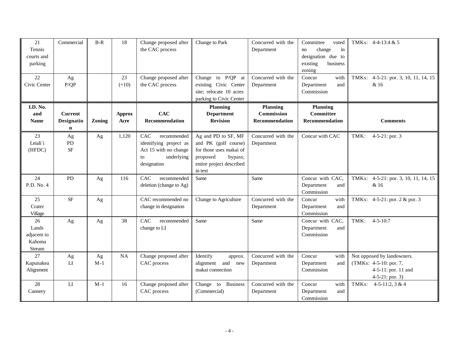| 21<br>Tennis<br>courts and<br>parking<br>22    | Commercial                                  | $B-R$       | 18<br>23              | Change proposed after<br>the CAC process                                                                 | Change to Park<br>Change to P/QP at                                                                                                  | Concurred with the<br>Department<br>Concurred with the | Committee<br>voted<br>change<br>in<br>no<br>designation due to<br>existing<br>business<br>zoning | TMKs: $4-4-13:4 & 5$                                                                              |
|------------------------------------------------|---------------------------------------------|-------------|-----------------------|----------------------------------------------------------------------------------------------------------|--------------------------------------------------------------------------------------------------------------------------------------|--------------------------------------------------------|--------------------------------------------------------------------------------------------------|---------------------------------------------------------------------------------------------------|
| Civic Center                                   | Ag<br>P/QP                                  |             | $(+10)$               | Change proposed after<br>the CAC process                                                                 | existing Civic Center<br>site; relocate 10 acres<br>parking to Civic Center                                                          | Department                                             | with<br>Concur<br>Department<br>and<br>Commission                                                | 4-5-21: por. 3, 10, 11, 14, 15<br>TMKs:<br>& 16                                                   |
| I.D. No.<br>and<br><b>Name</b>                 | <b>Current</b><br>Designatio<br>$\mathbf n$ | Zoning      | <b>Approx</b><br>Acre | <b>CAC</b><br>Recommendation                                                                             | <b>Planning</b><br><b>Department</b><br><b>Revision</b>                                                                              | <b>Planning</b><br>Commission<br>Recommendation        | <b>Planning</b><br>Committee<br>Recommendation                                                   | <b>Comments</b>                                                                                   |
| 23<br>Leiali'i<br>(HFDC)                       | Ag<br><b>PD</b><br><b>SF</b>                | Ag          | 1,120                 | CAC<br>recommended<br>identifying project as<br>Act 15 with no change<br>underlying<br>to<br>designation | Ag and PD to SF, MF<br>and PK (golf course)<br>for those uses makai of<br>proposed<br>bypass;<br>entire project described<br>in text | Concurred with the<br>Department                       | Concur with CAC                                                                                  | TMK:<br>$4-5-21$ : por. 3                                                                         |
| 24<br>P.D. No. 4                               | PD                                          | Ag          | 116                   | CAC<br>recommended<br>deletion (change to Ag)                                                            | Same                                                                                                                                 | Same                                                   | Concur with CAC,<br>Department<br>and<br>Commission                                              | TMKs: 4-5-21: por. 3, 10, 11, 14, 15<br>& 16                                                      |
| 25<br>Crater<br>Village                        | <b>SF</b>                                   | Ag          |                       | CAC recommended no<br>change in designation                                                              | Change to Agriculture                                                                                                                | Concurred with the<br>Department                       | Concur<br>with<br>Department<br>and<br>Commission                                                | TMKs: 4-5-21: por. 2 & por. 3                                                                     |
| 26<br>Lands<br>adjacent to<br>Kahoma<br>Stream | Ag                                          | Ag          | 38                    | CAC<br>recommended<br>change to LI                                                                       | Same                                                                                                                                 | Same                                                   | Concur with CAC,<br>Department<br>and<br>Commission                                              | $4 - 5 - 10:7$<br>TMK:                                                                            |
| 27<br>Kapunakea<br>Alignment                   | Ag<br>LI                                    | Ag<br>$M-1$ | <b>NA</b>             | Change proposed after<br>CAC process                                                                     | Identify<br>approx.<br>alignment and<br>new<br>makai connection                                                                      | Concurred with the<br>Department                       | Concur<br>with<br>Department<br>and<br>Commission                                                | Not opposed by landowners.<br>(TMKs: 4-5-10: por. 7,<br>4-5-11: por. 11 and<br>$4-5-21$ : por. 3) |
| 28<br>Cannery                                  | LI                                          | $M-1$       | 16                    | Change proposed after<br>CAC process                                                                     | <b>Business</b><br>Change to<br>(Commercial)                                                                                         | Concurred with the<br>Department                       | Concur<br>with<br>Department<br>and<br>Commission                                                | TMKs:<br>$4-5-11:2, 3 & 4$                                                                        |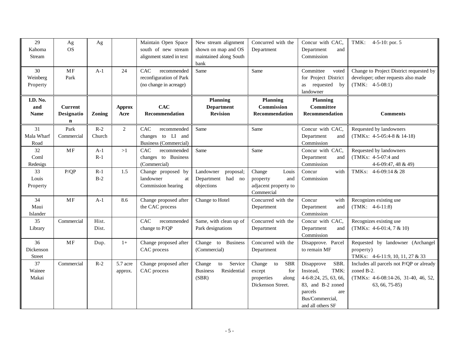| 29<br>Kahoma<br>Stream         | Ag<br><b>OS</b>                   | Ag              |                       | Maintain Open Space<br>south of new stream<br>alignment stated in text  | New stream alignment<br>shown on map and OS<br>maintained along South<br>bank | Concurred with the<br>Department                                                        | Concur with CAC,<br>Department<br>and<br>Commission                                                                                            | TMK:<br>4-5-10: por. $5$                                                                                        |
|--------------------------------|-----------------------------------|-----------------|-----------------------|-------------------------------------------------------------------------|-------------------------------------------------------------------------------|-----------------------------------------------------------------------------------------|------------------------------------------------------------------------------------------------------------------------------------------------|-----------------------------------------------------------------------------------------------------------------|
| 30<br>Weinberg<br>Property     | MF<br>Park                        | $A-1$           | 24                    | CAC<br>recommended<br>reconfiguration of Park<br>(no change in acreage) | Same                                                                          | Same                                                                                    | Committee<br>voted<br>for Project District<br>as requested by<br>landowner                                                                     | Change to Project District requested by<br>developer; other requests also made<br>$(TMK: 4-5-08:1)$             |
| I.D. No.<br>and<br><b>Name</b> | <b>Current</b><br>Designatio<br>n | Zoning          | <b>Approx</b><br>Acre | <b>CAC</b><br>Recommendation                                            | Planning<br><b>Department</b><br><b>Revision</b>                              | <b>Planning</b><br>Commission<br>Recommendation                                         | <b>Planning</b><br>Committee<br>Recommendation                                                                                                 | <b>Comments</b>                                                                                                 |
| 31<br>Mala Wharf<br>Road       | Park<br>Commercial                | $R-2$<br>Church | $\overline{2}$        | CAC<br>recommended<br>changes to LI and<br><b>Business (Commercial)</b> | Same                                                                          | Same                                                                                    | Concur with CAC,<br>Department<br>and<br>Commission                                                                                            | Requested by landowners<br>$(TMKs: 4-5-05:4-8 & 14-18)$                                                         |
| 32<br>Coml<br>Redesigs         | <b>MF</b>                         | $A-1$<br>$R-1$  | >1                    | CAC<br>recommended<br>changes to Business<br>(Commercial)               | Same                                                                          | Same                                                                                    | Concur with CAC,<br>Department<br>and<br>Commission                                                                                            | Requested by landowners<br>(TMKs: 4-5-07:4 and<br>4-6-09:47, 48 & 49)                                           |
| 33<br>Louis<br>Property        | P/QP                              | $R-1$<br>$B-2$  | 1.5                   | Change proposed by<br>landowner<br>at<br>Commission hearing             | Landowner<br>proposal;<br>had no<br>Department<br>objections                  | Change<br>Louis<br>property<br>and<br>adjacent property to<br>Commercial                | Concur<br>with<br>Commission                                                                                                                   | TMKs: 4-6-09:14 & 28                                                                                            |
| 34<br>Maui<br>Islander         | MF                                | $A-1$           | 8.6                   | Change proposed after<br>the CAC process                                | Change to Hotel                                                               | Concurred with the<br>Department                                                        | Concur<br>with<br>Department<br>and<br>Commission                                                                                              | Recognizes existing use<br>$(TMK: 4-6-11:8)$                                                                    |
| 35<br>Library                  | Commercial                        | Hist.<br>Dist.  |                       | CAC<br>recommended<br>change to P/QP                                    | Same, with clean up of<br>Park designations                                   | Concurred with the<br>Department                                                        | Concur with CAC,<br>Department<br>and<br>Commission                                                                                            | Recognizes existing use<br>$(TMKs: 4-6-01:4, 7 & 10)$                                                           |
| 36<br>Dickenson<br>Street      | MF                                | Dup.            | $1+$                  | Change proposed after<br>CAC process                                    | Change to Business<br>(Commercial)                                            | Concurred with the<br>Department                                                        | Disapprove. Parcel<br>to remain MF                                                                                                             | Requested by landowner (Archangel<br>property)<br>TMKs: 4-6-11:9, 10, 11, 27 & 33                               |
| 37<br>Wainee<br>Makai          | Commercial                        | $R-2$           | 5.7 acre<br>approx.   | Change proposed after<br>CAC process                                    | Service<br>Change<br>to<br>Residential<br><b>Business</b><br>(SBR)            | Change<br>to<br><b>SBR</b><br>for<br>except<br>properties<br>along<br>Dickenson Street. | SBR.<br>Disapprove<br>Instead.<br>TMK:<br>4-6-8:24, 25, 63, 66,<br>83, and B-2 zoned<br>parcels<br>are<br>Bus/Commercial,<br>and all others SF | Includes all parcels not P/QP or already<br>zoned B-2.<br>(TMKs: 4-6-08:14-26, 31-40, 46, 52,<br>63, 66, 75-85) |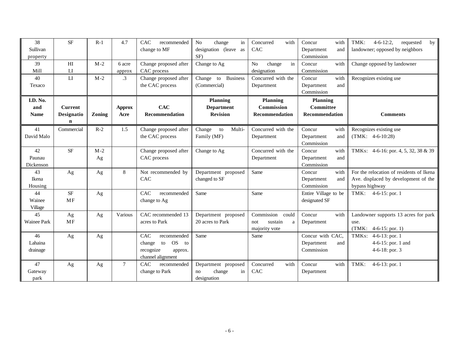| 38<br>Sullivan     | <b>SF</b>      | $R-1$  | 4.7           | CAC<br>recommended<br>change to MF | N <sub>o</sub><br>change<br>in<br>designation (leave as | Concurred<br>with<br>CAC       | Concur<br>with<br>Department<br>and | $4 - 6 - 12:2$<br>TMK:<br>requested<br>by<br>landowner; opposed by neighbors |
|--------------------|----------------|--------|---------------|------------------------------------|---------------------------------------------------------|--------------------------------|-------------------------------------|------------------------------------------------------------------------------|
| property           |                |        |               |                                    | SF)                                                     |                                | Commission                          |                                                                              |
| 39                 | H <sub>I</sub> | $M-2$  | 6 acre        | Change proposed after              | Change to Ag                                            | in<br>N <sub>0</sub><br>change | Concur<br>with                      | Change opposed by landowner                                                  |
| Mill               | LI             |        | approx        | CAC process                        |                                                         | designation                    | Commission                          |                                                                              |
| 40                 | LI             | $M-2$  | $\cdot$ 3     | Change proposed after              | <b>Business</b><br>Change to                            | Concurred with the             | with<br>Concur                      | Recognizes existing use                                                      |
| Texaco             |                |        |               | the CAC process                    | (Commercial)                                            | Department                     | Department<br>and                   |                                                                              |
|                    |                |        |               |                                    |                                                         |                                | Commission                          |                                                                              |
| I.D. No.           |                |        |               |                                    | <b>Planning</b>                                         | <b>Planning</b>                | Planning                            |                                                                              |
| and                | <b>Current</b> |        | <b>Approx</b> | <b>CAC</b>                         | <b>Department</b>                                       | <b>Commission</b>              | Committee                           |                                                                              |
| <b>Name</b>        | Designatio     | Zoning | Acre          | Recommendation                     | <b>Revision</b>                                         | Recommendation                 | Recommendation                      | <b>Comments</b>                                                              |
|                    | $\mathbf n$    |        |               |                                    |                                                         |                                |                                     |                                                                              |
| 41                 | Commercial     | $R-2$  | 1.5           | Change proposed after              | Multi-<br>Change<br>to                                  | Concurred with the             | Concur<br>with                      | Recognizes existing use                                                      |
| David Malo         |                |        |               | the CAC process                    | Family (MF)                                             | Department                     | Department<br>and                   | $(TMK: 4-6-10:28)$                                                           |
|                    |                |        |               |                                    |                                                         |                                | Commission                          |                                                                              |
| 42                 | <b>SF</b>      | $M-2$  |               | Change proposed after              | Change to Ag                                            | Concurred with the             | Concur<br>with                      | TMKs: 4-6-16: por. 4, 5, 32, 38 & 39                                         |
| Paunau             |                | Ag     |               | CAC process                        |                                                         | Department                     | Department<br>and                   |                                                                              |
| Dickenson          |                |        |               |                                    |                                                         |                                | Commission                          |                                                                              |
| 43                 | Ag             | Ag     | $\,8\,$       | Not recommended by                 | Department proposed                                     | Same                           | Concur<br>with                      | For the relocation of residents of Ikena                                     |
| Ikena              |                |        |               | CAC                                | changed to SF                                           |                                | Department<br>and                   | Ave. displaced by development of the                                         |
| Housing            |                |        |               |                                    |                                                         |                                | Commission                          | bypass highway                                                               |
| 44                 | $\rm SF$       | Ag     |               | CAC<br>recommended                 | Same                                                    | Same                           | Entire Village to be                | $4-6-15$ : por. 1<br>TMK:                                                    |
| Wainee             | <b>MF</b>      |        |               | change to Ag                       |                                                         |                                | designated SF                       |                                                                              |
| Village            |                |        |               |                                    |                                                         |                                |                                     |                                                                              |
| 45                 | Ag             | Ag     | Various       | CAC recommended 13                 | Department proposed                                     | Commission<br>could            | Concur<br>with                      | Landowner supports 13 acres for park                                         |
| <b>Wainee Park</b> | MF             |        |               | acres to Park                      | 20 acres to Park                                        | not<br>sustain<br>a            | Department                          | use.                                                                         |
|                    |                |        |               |                                    |                                                         | majority vote                  |                                     | (TMK:<br>$4-6-15$ : por. 1)                                                  |
| 46                 | Ag             | Ag     |               | CAC<br>recommended                 | Same                                                    | Same                           | Concur with CAC,                    | TMKs: 4-6-13: por. 1                                                         |
| Lahaina            |                |        |               | <b>OS</b><br>change<br>to<br>to    |                                                         |                                | Department<br>and                   | 4-6-15: por. 1 and                                                           |
| drainage           |                |        |               | recognize<br>approx.               |                                                         |                                | Commission                          | 4-6-18: por. $3$                                                             |
|                    |                |        |               | channel alignment                  |                                                         |                                |                                     |                                                                              |
| 47                 | Ag             | Ag     | $\tau$        | CAC<br>recommended                 | Department proposed                                     | Concurred<br>with              | Concur<br>with                      | TMK:<br>$4-6-13$ : por. 1                                                    |
| Gateway            |                |        |               | change to Park                     | change<br>in<br>no                                      | CAC                            | Department                          |                                                                              |
| park               |                |        |               |                                    | designation                                             |                                |                                     |                                                                              |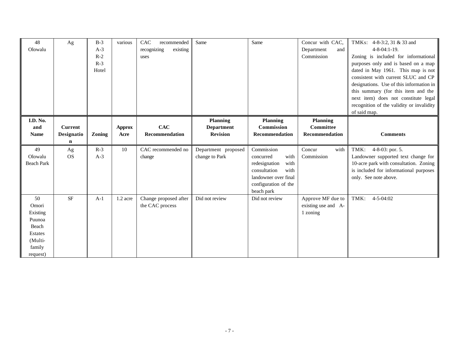| 48<br>Olowalu      | Ag             | $B-3$<br>$A-3$<br>$R-2$<br>$R-3$<br>Hotel | various               | CAC<br>recommended<br>recognizing<br>existing<br>uses | Same                                 | Same                                 | Concur with CAC,<br>Department<br>and<br>Commission | TMKs: 4-8-3:2, 31 & 33 and<br>$4 - 8 - 04:1 - 19.$<br>Zoning is included for informational<br>purposes only and is based on a map<br>dated in May 1961. This map is not<br>consistent with current SLUC and CP<br>designations. Use of this information in<br>this summary (for this item and the<br>next item) does not constitute legal<br>recognition of the validity or invalidity<br>of said map. |
|--------------------|----------------|-------------------------------------------|-----------------------|-------------------------------------------------------|--------------------------------------|--------------------------------------|-----------------------------------------------------|--------------------------------------------------------------------------------------------------------------------------------------------------------------------------------------------------------------------------------------------------------------------------------------------------------------------------------------------------------------------------------------------------------|
| I.D. No.           | <b>Current</b> |                                           |                       | CAC                                                   | <b>Planning</b>                      | <b>Planning</b><br><b>Commission</b> | <b>Planning</b><br>Committee                        |                                                                                                                                                                                                                                                                                                                                                                                                        |
| and<br><b>Name</b> | Designatio     | Zoning                                    | <b>Approx</b><br>Acre | <b>Recommendation</b>                                 | <b>Department</b><br><b>Revision</b> | Recommendation                       | Recommendation                                      | <b>Comments</b>                                                                                                                                                                                                                                                                                                                                                                                        |
|                    | $\mathbf n$    |                                           |                       |                                                       |                                      |                                      |                                                     |                                                                                                                                                                                                                                                                                                                                                                                                        |
| 49                 | Ag             | $R-3$                                     | 10                    | CAC recommended no                                    | Department proposed                  | Commission                           | Concur<br>with                                      | 4-8-03: por. 5.<br>TMK:                                                                                                                                                                                                                                                                                                                                                                                |
| Olowalu            | <b>OS</b>      | $A-3$                                     |                       | change                                                | change to Park                       | with<br>concurred                    | Commission                                          | Landowner supported text change for                                                                                                                                                                                                                                                                                                                                                                    |
| <b>Beach Park</b>  |                |                                           |                       |                                                       |                                      | with<br>redesignation                |                                                     | 10-acre park with consultation. Zoning                                                                                                                                                                                                                                                                                                                                                                 |
|                    |                |                                           |                       |                                                       |                                      | consultation<br>with                 |                                                     | is included for informational purposes                                                                                                                                                                                                                                                                                                                                                                 |
|                    |                |                                           |                       |                                                       |                                      | landowner over final                 |                                                     | only. See note above.                                                                                                                                                                                                                                                                                                                                                                                  |
|                    |                |                                           |                       |                                                       |                                      | configuration of the<br>beach park   |                                                     |                                                                                                                                                                                                                                                                                                                                                                                                        |
| 50                 | $\rm SF$       | $A-1$                                     | 1.2 acre              | Change proposed after                                 | Did not review                       | Did not review                       | Approve MF due to                                   | TMK:<br>$4 - 5 - 04:02$                                                                                                                                                                                                                                                                                                                                                                                |
| Omori              |                |                                           |                       | the CAC process                                       |                                      |                                      | existing use and A-                                 |                                                                                                                                                                                                                                                                                                                                                                                                        |
| Existing           |                |                                           |                       |                                                       |                                      |                                      | 1 zoning                                            |                                                                                                                                                                                                                                                                                                                                                                                                        |
| Puunoa             |                |                                           |                       |                                                       |                                      |                                      |                                                     |                                                                                                                                                                                                                                                                                                                                                                                                        |
| Beach              |                |                                           |                       |                                                       |                                      |                                      |                                                     |                                                                                                                                                                                                                                                                                                                                                                                                        |
| Estates            |                |                                           |                       |                                                       |                                      |                                      |                                                     |                                                                                                                                                                                                                                                                                                                                                                                                        |
| (Multi-            |                |                                           |                       |                                                       |                                      |                                      |                                                     |                                                                                                                                                                                                                                                                                                                                                                                                        |
| family             |                |                                           |                       |                                                       |                                      |                                      |                                                     |                                                                                                                                                                                                                                                                                                                                                                                                        |
| request)           |                |                                           |                       |                                                       |                                      |                                      |                                                     |                                                                                                                                                                                                                                                                                                                                                                                                        |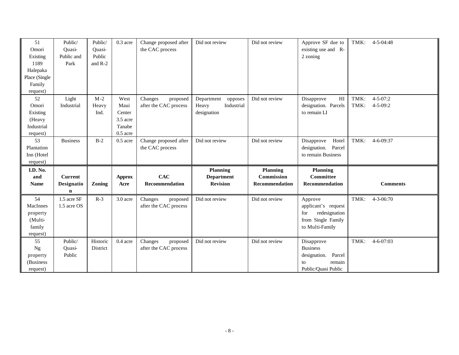| 51            | Public/         | Public/  | 0.3 acre      | Change proposed after | Did not review        | Did not review    | Approve SF due to                   | TMK: | $4 - 5 - 04:48$ |
|---------------|-----------------|----------|---------------|-----------------------|-----------------------|-------------------|-------------------------------------|------|-----------------|
| Omori         | Quasi-          | Quasi-   |               | the CAC process       |                       |                   | existing use and R-                 |      |                 |
| Existing      | Public and      | Public   |               |                       |                       |                   | 2 zoning                            |      |                 |
| 1189          | Park            | and R-2  |               |                       |                       |                   |                                     |      |                 |
| Halepaka      |                 |          |               |                       |                       |                   |                                     |      |                 |
| Place (Single |                 |          |               |                       |                       |                   |                                     |      |                 |
| Family        |                 |          |               |                       |                       |                   |                                     |      |                 |
| request)      |                 |          |               |                       |                       |                   |                                     |      |                 |
| 52            | Light           | $M-2$    | West          | Changes<br>proposed   | Department<br>opposes | Did not review    | H <sub>I</sub><br>Disapprove        | TMK: | $4 - 5 - 07:2$  |
| Omori         | Industrial      | Heavy    | Maui          | after the CAC process | Industrial<br>Heavy   |                   | designation. Parcels                | TMK: | $4 - 5 - 09:2$  |
| Existing      |                 | Ind.     | Center        |                       | designation           |                   | to remain LI                        |      |                 |
| (Heavy        |                 |          | 3.5 acre      |                       |                       |                   |                                     |      |                 |
| Industrial    |                 |          | Tanabe        |                       |                       |                   |                                     |      |                 |
| request)      |                 |          | $0.5$ acre    |                       |                       |                   |                                     |      |                 |
| 53            | <b>Business</b> | $B-2$    | $0.5$ acre    | Change proposed after | Did not review        | Did not review    | Hotel<br>Disapprove                 | TMK: | $4 - 6 - 09:37$ |
| Plantation    |                 |          |               | the CAC process       |                       |                   | designation. Parcel                 |      |                 |
|               |                 |          |               |                       |                       |                   | to remain Business                  |      |                 |
| Inn (Hotel    |                 |          |               |                       |                       |                   |                                     |      |                 |
| request)      |                 |          |               |                       |                       |                   |                                     |      |                 |
| I.D. No.      |                 |          |               |                       | <b>Planning</b>       | <b>Planning</b>   | Planning                            |      |                 |
| and           | <b>Current</b>  |          | <b>Approx</b> | <b>CAC</b>            | <b>Department</b>     | <b>Commission</b> | Committee                           |      |                 |
| <b>Name</b>   | Designatio      | Zoning   | Acre          | <b>Recommendation</b> | <b>Revision</b>       | Recommendation    | <b>Recommendation</b>               |      | <b>Comments</b> |
|               | $\mathbf n$     |          |               |                       |                       |                   |                                     |      |                 |
| 54            | 1.5 acre SF     | $R-3$    | $3.0$ acre    | Changes<br>proposed   | Did not review        | Did not review    | Approve                             | TMK: | $4 - 3 - 06:70$ |
| MacInnes      | 1.5 acre OS     |          |               | after the CAC process |                       |                   | applicant's request                 |      |                 |
| property      |                 |          |               |                       |                       |                   | redesignation<br>for                |      |                 |
| (Multi-       |                 |          |               |                       |                       |                   | from Single Family                  |      |                 |
| family        |                 |          |               |                       |                       |                   | to Multi-Family                     |      |                 |
| request)      |                 |          |               |                       |                       |                   |                                     |      |                 |
| 55            | Public/         | Historic | 0.4 acre      | Changes<br>proposed   | Did not review        | Did not review    | Disapprove                          | TMK: | $4 - 6 - 07:03$ |
| <b>Ng</b>     | Quasi-          | District |               | after the CAC process |                       |                   | <b>Business</b>                     |      |                 |
| property      | Public          |          |               |                       |                       |                   | designation.<br>Parcel              |      |                 |
| (Business     |                 |          |               |                       |                       |                   | remain<br>to<br>Public/Quasi Public |      |                 |